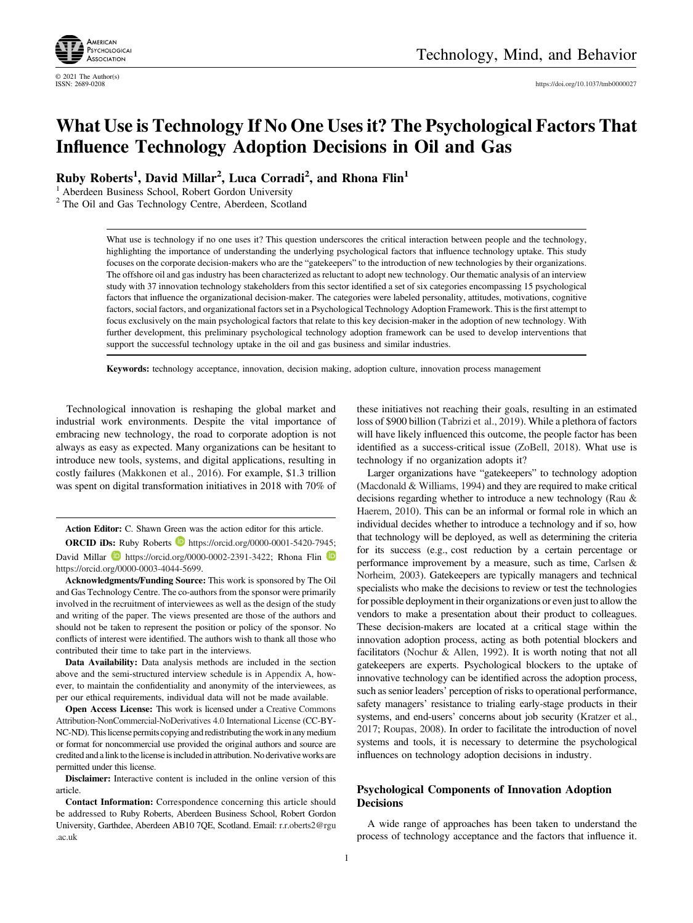

© 2021 The Author(s)

# What Use is Technology If No One Uses it? The Psychological Factors That Influence Technology Adoption Decisions in Oil and Gas

Ruby Roberts<sup>1</sup>, David Millar<sup>2</sup>, Luca Corradi<sup>2</sup>, and Rhona Flin<sup>1</sup>

<sup>1</sup> Aberdeen Business School, Robert Gordon University

<sup>2</sup> The Oil and Gas Technology Centre, Aberdeen, Scotland

What use is technology if no one uses it? This question underscores the critical interaction between people and the technology, highlighting the importance of understanding the underlying psychological factors that influence technology uptake. This study focuses on the corporate decision-makers who are the "gatekeepers" to the introduction of new technologies by their organizations. The offshore oil and gas industry has been characterized as reluctant to adopt new technology. Our thematic analysis of an interview study with 37 innovation technology stakeholders from this sector identified a set of six categories encompassing 15 psychological factors that influence the organizational decision-maker. The categories were labeled personality, attitudes, motivations, cognitive factors, social factors, and organizational factors set in a Psychological Technology Adoption Framework. This is the first attempt to focus exclusively on the main psychological factors that relate to this key decision-maker in the adoption of new technology. With further development, this preliminary psychological technology adoption framework can be used to develop interventions that support the successful technology uptake in the oil and gas business and similar industries.

Keywords: technology acceptance, innovation, decision making, adoption culture, innovation process management

Technological innovation is reshaping the global market and industrial work environments. Despite the vital importance of embracing new technology, the road to corporate adoption is not always as easy as expected. Many organizations can be hesitant to introduce new tools, systems, and digital applications, resulting in costly failures [\(Makkonen et al., 2016\)](#page-13-0). For example, \$1.3 trillion was spent on digital transformation initiatives in 2018 with 70% of

Action Editor: C. Shawn Green was the action editor for this article.

ORCID iDs: Ruby Roberts **b** [https://orcid.org/0000-0001-5420-7945;](https://orcid.org/0000-0001-5420-7945) David Millar  $\blacksquare$  [https://orcid.org/0000-0002-2391-3422;](https://orcid.org/0000-0002-2391-3422) Rhona Flin <https://orcid.org/0000-0003-4044-5699>.

Acknowledgments/Funding Source: This work is sponsored by The Oil and Gas Technology Centre. The co-authors from the sponsor were primarily involved in the recruitment of interviewees as well as the design of the study and writing of the paper. The views presented are those of the authors and should not be taken to represent the position or policy of the sponsor. No conflicts of interest were identified. The authors wish to thank all those who contributed their time to take part in the interviews.

Data Availability: Data analysis methods are included in the section above and the semi-structured interview schedule is in [Appendix A](#page-15-0), however, to maintain the confidentiality and anonymity of the interviewees, as per our ethical requirements, individual data will not be made available.

Open Access License: This work is licensed under a [Creative Commons](https://creativecommons.org/licenses/by-nc-nd/4.0/) [Attribution-NonCommercial-NoDerivatives 4.0](https://creativecommons.org/licenses/by-nc-nd/4.0/) International License (CC-BY-NC-ND). This license permits copying and redistributing the work in any medium or format for noncommercial use provided the original authors and source are credited and a link to the license is includedin attribution. No derivative works are permitted under this license.

Disclaimer: Interactive content is included in the online version of this article.

Contact Information: Correspondence concerning this article should be addressed to Ruby Roberts, Aberdeen Business School, Robert Gordon University, Garthdee, Aberdeen AB10 7QE, Scotland. Email: [r.r.oberts2@rgu](mailto:r.r.oberts2@rgu.ac.uk) [.ac.uk](mailto:r.r.oberts2@rgu.ac.uk)

these initiatives not reaching their goals, resulting in an estimated loss of \$900 billion [\(Tabrizi et al., 2019\)](#page-15-0). While a plethora of factors will have likely influenced this outcome, the people factor has been identified as a success-critical issue [\(ZoBell, 2018\)](#page-15-0). What use is technology if no organization adopts it?

Larger organizations have "gatekeepers" to technology adoption ([Macdonald & Williams, 1994\)](#page-13-0) and they are required to make critical decisions regarding whether to introduce a new technology [\(Rau &](#page-14-0) [Haerem, 2010](#page-14-0)). This can be an informal or formal role in which an individual decides whether to introduce a technology and if so, how that technology will be deployed, as well as determining the criteria for its success (e.g., cost reduction by a certain percentage or performance improvement by a measure, such as time, [Carlsen &](#page-12-0) [Norheim, 2003](#page-12-0)). Gatekeepers are typically managers and technical specialists who make the decisions to review or test the technologies for possible deployment in their organizations or even just to allow the vendors to make a presentation about their product to colleagues. These decision-makers are located at a critical stage within the innovation adoption process, acting as both potential blockers and facilitators ([Nochur & Allen, 1992](#page-14-0)). It is worth noting that not all gatekeepers are experts. Psychological blockers to the uptake of innovative technology can be identified across the adoption process, such as senior leaders' perception of risks to operational performance, safety managers' resistance to trialing early-stage products in their systems, and end-users' concerns about job security [\(Kratzer et al.,](#page-13-0) [2017;](#page-13-0) [Roupas, 2008\)](#page-14-0). In order to facilitate the introduction of novel systems and tools, it is necessary to determine the psychological influences on technology adoption decisions in industry.

## Psychological Components of Innovation Adoption **Decisions**

A wide range of approaches has been taken to understand the process of technology acceptance and the factors that influence it.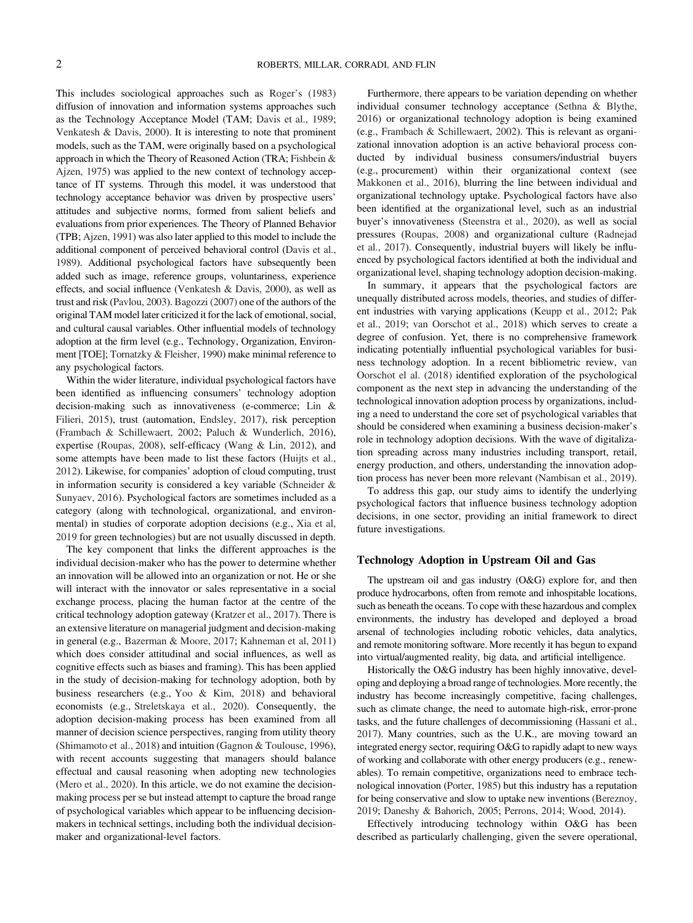This includes sociological approaches such as Roger'[s \(1983\)](#page-14-0) diffusion of innovation and information systems approaches such as the Technology Acceptance Model (TAM; [Davis et al., 1989;](#page-13-0) [Venkatesh & Davis, 2000](#page-15-0)). It is interesting to note that prominent models, such as the TAM, were originally based on a psychological approach in which the Theory of Reasoned Action (TRA; [Fishbein &](#page-13-0) [Ajzen, 1975\)](#page-13-0) was applied to the new context of technology acceptance of IT systems. Through this model, it was understood that technology acceptance behavior was driven by prospective users' attitudes and subjective norms, formed from salient beliefs and evaluations from prior experiences. The Theory of Planned Behavior (TPB; [Ajzen, 1991\)](#page-12-0) was also later applied to this model to include the additional component of perceived behavioral control ([Davis et al.,](#page-13-0) [1989\)](#page-13-0). Additional psychological factors have subsequently been added such as image, reference groups, voluntariness, experience effects, and social influence [\(Venkatesh & Davis, 2000\)](#page-15-0), as well as trust and risk [\(Pavlou, 2003\)](#page-14-0). [Bagozzi \(2007\)](#page-12-0) one of the authors of the original TAM model later criticized it for the lack of emotional, social, and cultural causal variables. Other influential models of technology adoption at the firm level (e.g., Technology, Organization, Environment [TOE]; [Tornatzky & Fleisher, 1990\)](#page-15-0) make minimal reference to any psychological factors.

Within the wider literature, individual psychological factors have been identified as influencing consumers' technology adoption decision-making such as innovativeness (e-commerce; [Lin &](#page-13-0) [Filieri, 2015\)](#page-13-0), trust (automation, [Endsley, 2017](#page-13-0)), risk perception ([Frambach & Schillewaert, 2002](#page-13-0); [Paluch & Wunderlich, 2016\)](#page-14-0), expertise [\(Roupas, 2008\)](#page-14-0), self-efficacy [\(Wang & Lin, 2012\)](#page-15-0), and some attempts have been made to list these factors [\(Huijts et al.,](#page-13-0) [2012\)](#page-13-0). Likewise, for companies' adoption of cloud computing, trust in information security is considered a key variable [\(Schneider &](#page-14-0) [Sunyaev, 2016](#page-14-0)). Psychological factors are sometimes included as a category (along with technological, organizational, and environmental) in studies of corporate adoption decisions (e.g., [Xia et al,](#page-15-0) [2019](#page-15-0) for green technologies) but are not usually discussed in depth.

The key component that links the different approaches is the individual decision-maker who has the power to determine whether an innovation will be allowed into an organization or not. He or she will interact with the innovator or sales representative in a social exchange process, placing the human factor at the centre of the critical technology adoption gateway ([Kratzer et al., 2017](#page-13-0)). There is an extensive literature on managerial judgment and decision-making in general (e.g., [Bazerman & Moore, 2017;](#page-12-0) [Kahneman et al, 2011](#page-13-0)) which does consider attitudinal and social influences, as well as cognitive effects such as biases and framing). This has been applied in the study of decision-making for technology adoption, both by business researchers (e.g., [Yoo & Kim, 2018\)](#page-15-0) and behavioral economists (e.g., [Streletskaya et al., 2020\)](#page-14-0). Consequently, the adoption decision-making process has been examined from all manner of decision science perspectives, ranging from utility theory ([Shimamoto et al., 2018\)](#page-14-0) and intuition [\(Gagnon & Toulouse, 1996\)](#page-13-0), with recent accounts suggesting that managers should balance effectual and causal reasoning when adopting new technologies ([Mero et al., 2020](#page-13-0)). In this article, we do not examine the decisionmaking process per se but instead attempt to capture the broad range of psychological variables which appear to be influencing decisionmakers in technical settings, including both the individual decisionmaker and organizational-level factors.

Furthermore, there appears to be variation depending on whether individual consumer technology acceptance ([Sethna & Blythe,](#page-14-0) [2016](#page-14-0)) or organizational technology adoption is being examined (e.g., [Frambach & Schillewaert, 2002\)](#page-13-0). This is relevant as organizational innovation adoption is an active behavioral process conducted by individual business consumers/industrial buyers (e.g., procurement) within their organizational context (see [Makkonen et al., 2016](#page-13-0)), blurring the line between individual and organizational technology uptake. Psychological factors have also been identified at the organizational level, such as an industrial buyer's innovativeness [\(Steenstra et al., 2020\)](#page-14-0), as well as social pressures ([Roupas, 2008\)](#page-14-0) and organizational culture [\(Radnejad](#page-14-0) [et al., 2017](#page-14-0)). Consequently, industrial buyers will likely be influenced by psychological factors identified at both the individual and organizational level, shaping technology adoption decision-making.

In summary, it appears that the psychological factors are unequally distributed across models, theories, and studies of different industries with varying applications ([Keupp et al., 2012;](#page-13-0) [Pak](#page-14-0) [et al., 2019;](#page-14-0) [van Oorschot et al., 2018\)](#page-15-0) which serves to create a degree of confusion. Yet, there is no comprehensive framework indicating potentially influential psychological variables for business technology adoption. In a recent bibliometric review, [van](#page-15-0) [Oorschot el al. \(2018\)](#page-15-0) identified exploration of the psychological component as the next step in advancing the understanding of the technological innovation adoption process by organizations, including a need to understand the core set of psychological variables that should be considered when examining a business decision-maker's role in technology adoption decisions. With the wave of digitalization spreading across many industries including transport, retail, energy production, and others, understanding the innovation adoption process has never been more relevant ([Nambisan et al., 2019\)](#page-14-0).

To address this gap, our study aims to identify the underlying psychological factors that influence business technology adoption decisions, in one sector, providing an initial framework to direct future investigations.

## Technology Adoption in Upstream Oil and Gas

The upstream oil and gas industry (O&G) explore for, and then produce hydrocarbons, often from remote and inhospitable locations, such as beneath the oceans. To cope with these hazardous and complex environments, the industry has developed and deployed a broad arsenal of technologies including robotic vehicles, data analytics, and remote monitoring software. More recently it has begun to expand into virtual/augmented reality, big data, and artificial intelligence.

Historically the O&G industry has been highly innovative, developing and deploying a broad range of technologies. More recently, the industry has become increasingly competitive, facing challenges, such as climate change, the need to automate high-risk, error-prone tasks, and the future challenges of decommissioning [\(Hassani et al.,](#page-13-0) [2017\)](#page-13-0). Many countries, such as the U.K., are moving toward an integrated energy sector, requiring O&G to rapidly adapt to new ways of working and collaborate with other energy producers (e.g., renewables). To remain competitive, organizations need to embrace technological innovation [\(Porter, 1985](#page-14-0)) but this industry has a reputation for being conservative and slow to uptake new inventions [\(Bereznoy,](#page-12-0) [2019;](#page-12-0) [Daneshy & Bahorich, 2005](#page-12-0); [Perrons, 2014;](#page-14-0) [Wood, 2014](#page-15-0)).

Effectively introducing technology within O&G has been described as particularly challenging, given the severe operational,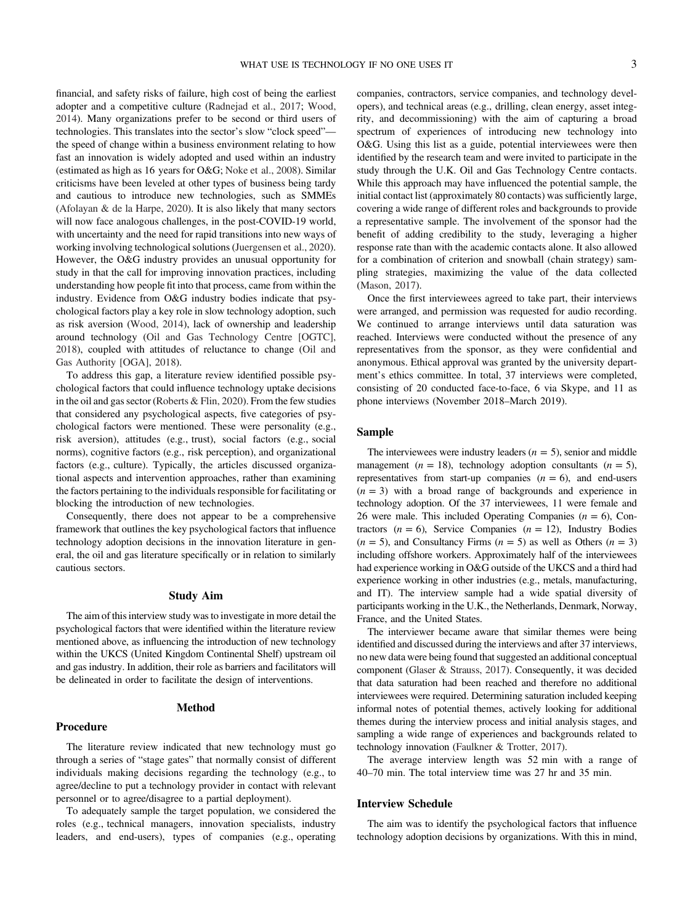financial, and safety risks of failure, high cost of being the earliest adopter and a competitive culture ([Radnejad et al., 2017;](#page-14-0) [Wood,](#page-15-0) [2014\)](#page-15-0). Many organizations prefer to be second or third users of technologies. This translates into the sector's slow "clock speed" the speed of change within a business environment relating to how fast an innovation is widely adopted and used within an industry (estimated as high as 16 years for O&G; [Noke et al., 2008\)](#page-14-0). Similar criticisms have been leveled at other types of business being tardy and cautious to introduce new technologies, such as SMMEs ([Afolayan & de la Harpe, 2020\)](#page-12-0). It is also likely that many sectors will now face analogous challenges, in the post-COVID-19 world, with uncertainty and the need for rapid transitions into new ways of working involving technological solutions ([Juergensen et al., 2020\)](#page-13-0). However, the O&G industry provides an unusual opportunity for study in that the call for improving innovation practices, including understanding how people fit into that process, came from within the industry. Evidence from O&G industry bodies indicate that psychological factors play a key role in slow technology adoption, such as risk aversion ([Wood, 2014](#page-15-0)), lack of ownership and leadership around technology ([Oil and Gas Technology Centre \[OGTC\],](#page-14-0) [2018\)](#page-14-0), coupled with attitudes of reluctance to change [\(Oil and](#page-14-0) [Gas Authority \[OGA\], 2018\)](#page-14-0).

To address this gap, a literature review identified possible psychological factors that could influence technology uptake decisions in the oil and gas sector ([Roberts & Flin, 2020](#page-14-0)). From the few studies that considered any psychological aspects, five categories of psychological factors were mentioned. These were personality (e.g., risk aversion), attitudes (e.g., trust), social factors (e.g., social norms), cognitive factors (e.g., risk perception), and organizational factors (e.g., culture). Typically, the articles discussed organizational aspects and intervention approaches, rather than examining the factors pertaining to the individuals responsible for facilitating or blocking the introduction of new technologies.

Consequently, there does not appear to be a comprehensive framework that outlines the key psychological factors that influence technology adoption decisions in the innovation literature in general, the oil and gas literature specifically or in relation to similarly cautious sectors.

#### Study Aim

The aim of this interview study was to investigate in more detail the psychological factors that were identified within the literature review mentioned above, as influencing the introduction of new technology within the UKCS (United Kingdom Continental Shelf) upstream oil and gas industry. In addition, their role as barriers and facilitators will be delineated in order to facilitate the design of interventions.

#### Method

#### Procedure

The literature review indicated that new technology must go through a series of "stage gates" that normally consist of different individuals making decisions regarding the technology (e.g., to agree/decline to put a technology provider in contact with relevant personnel or to agree/disagree to a partial deployment).

To adequately sample the target population, we considered the roles (e.g., technical managers, innovation specialists, industry leaders, and end-users), types of companies (e.g., operating

companies, contractors, service companies, and technology developers), and technical areas (e.g., drilling, clean energy, asset integrity, and decommissioning) with the aim of capturing a broad spectrum of experiences of introducing new technology into O&G. Using this list as a guide, potential interviewees were then identified by the research team and were invited to participate in the study through the U.K. Oil and Gas Technology Centre contacts. While this approach may have influenced the potential sample, the initial contact list (approximately 80 contacts) was sufficiently large, covering a wide range of different roles and backgrounds to provide a representative sample. The involvement of the sponsor had the benefit of adding credibility to the study, leveraging a higher response rate than with the academic contacts alone. It also allowed for a combination of criterion and snowball (chain strategy) sampling strategies, maximizing the value of the data collected ([Mason, 2017](#page-13-0)).

Once the first interviewees agreed to take part, their interviews were arranged, and permission was requested for audio recording. We continued to arrange interviews until data saturation was reached. Interviews were conducted without the presence of any representatives from the sponsor, as they were confidential and anonymous. Ethical approval was granted by the university department's ethics committee. In total, 37 interviews were completed, consisting of 20 conducted face-to-face, 6 via Skype, and 11 as phone interviews (November 2018–March 2019).

## Sample

The interviewees were industry leaders  $(n = 5)$ , senior and middle management ( $n = 18$ ), technology adoption consultants ( $n = 5$ ), representatives from start-up companies  $(n = 6)$ , and end-users  $(n = 3)$  with a broad range of backgrounds and experience in technology adoption. Of the 37 interviewees, 11 were female and 26 were male. This included Operating Companies  $(n = 6)$ , Contractors ( $n = 6$ ), Service Companies ( $n = 12$ ), Industry Bodies  $(n = 5)$ , and Consultancy Firms  $(n = 5)$  as well as Others  $(n = 3)$ including offshore workers. Approximately half of the interviewees had experience working in O&G outside of the UKCS and a third had experience working in other industries (e.g., metals, manufacturing, and IT). The interview sample had a wide spatial diversity of participants working in the U.K., the Netherlands, Denmark, Norway, France, and the United States.

The interviewer became aware that similar themes were being identified and discussed during the interviews and after 37 interviews, no new data were being found that suggested an additional conceptual component ([Glaser & Strauss, 2017\)](#page-13-0). Consequently, it was decided that data saturation had been reached and therefore no additional interviewees were required. Determining saturation included keeping informal notes of potential themes, actively looking for additional themes during the interview process and initial analysis stages, and sampling a wide range of experiences and backgrounds related to technology innovation ([Faulkner & Trotter, 2017](#page-13-0)).

The average interview length was 52 min with a range of 40–70 min. The total interview time was 27 hr and 35 min.

#### Interview Schedule

The aim was to identify the psychological factors that influence technology adoption decisions by organizations. With this in mind,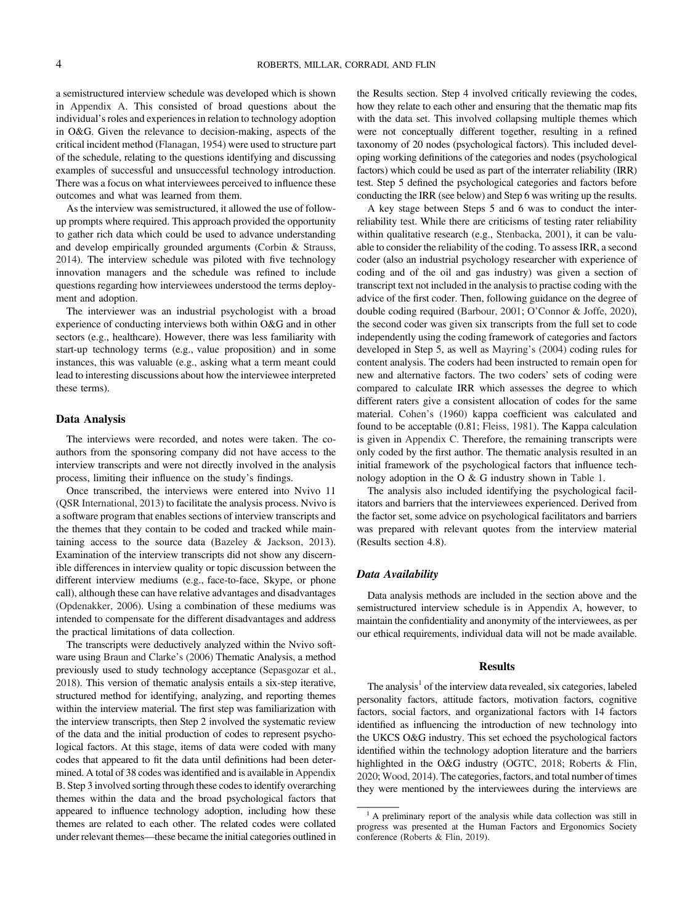a semistructured interview schedule was developed which is shown in [Appendix A](#page-15-0). This consisted of broad questions about the individual's roles and experiences in relation to technology adoption in O&G. Given the relevance to decision-making, aspects of the critical incident method [\(Flanagan, 1954\)](#page-13-0) were used to structure part of the schedule, relating to the questions identifying and discussing examples of successful and unsuccessful technology introduction. There was a focus on what interviewees perceived to influence these outcomes and what was learned from them.

As the interview was semistructured, it allowed the use of followup prompts where required. This approach provided the opportunity to gather rich data which could be used to advance understanding and develop empirically grounded arguments [\(Corbin & Strauss,](#page-12-0) [2014\)](#page-12-0). The interview schedule was piloted with five technology innovation managers and the schedule was refined to include questions regarding how interviewees understood the terms deployment and adoption.

The interviewer was an industrial psychologist with a broad experience of conducting interviews both within O&G and in other sectors (e.g., healthcare). However, there was less familiarity with start-up technology terms (e.g., value proposition) and in some instances, this was valuable (e.g., asking what a term meant could lead to interesting discussions about how the interviewee interpreted these terms).

#### Data Analysis

The interviews were recorded, and notes were taken. The coauthors from the sponsoring company did not have access to the interview transcripts and were not directly involved in the analysis process, limiting their influence on the study's findings.

Once transcribed, the interviews were entered into Nvivo 11 ([QSR International, 2013\)](#page-14-0) to facilitate the analysis process. Nvivo is a software program that enables sections of interview transcripts and the themes that they contain to be coded and tracked while maintaining access to the source data ([Bazeley & Jackson, 2013\)](#page-12-0). Examination of the interview transcripts did not show any discernible differences in interview quality or topic discussion between the different interview mediums (e.g., face-to-face, Skype, or phone call), although these can have relative advantages and disadvantages ([Opdenakker, 2006](#page-14-0)). Using a combination of these mediums was intended to compensate for the different disadvantages and address the practical limitations of data collection.

The transcripts were deductively analyzed within the Nvivo software using [Braun and Clarke](#page-12-0)'s (2006) Thematic Analysis, a method previously used to study technology acceptance [\(Sepasgozar et al.,](#page-14-0) [2018\)](#page-14-0). This version of thematic analysis entails a six-step iterative, structured method for identifying, analyzing, and reporting themes within the interview material. The first step was familiarization with the interview transcripts, then Step 2 involved the systematic review of the data and the initial production of codes to represent psychological factors. At this stage, items of data were coded with many codes that appeared to fit the data until definitions had been determined. A total of 38 codes was identified and is available in [Appendix](#page-16-0) [B.](#page-16-0) Step 3 involved sorting through these codes to identify overarching themes within the data and the broad psychological factors that appeared to influence technology adoption, including how these themes are related to each other. The related codes were collated under relevant themes—these became the initial categories outlined in the Results section. Step 4 involved critically reviewing the codes, how they relate to each other and ensuring that the thematic map fits with the data set. This involved collapsing multiple themes which were not conceptually different together, resulting in a refined taxonomy of 20 nodes (psychological factors). This included developing working definitions of the categories and nodes (psychological factors) which could be used as part of the interrater reliability (IRR) test. Step 5 defined the psychological categories and factors before conducting the IRR (see below) and Step 6 was writing up the results.

A key stage between Steps 5 and 6 was to conduct the interreliability test. While there are criticisms of testing rater reliability within qualitative research (e.g., [Stenbacka, 2001](#page-14-0)), it can be valuable to consider the reliability of the coding. To assess IRR, a second coder (also an industrial psychology researcher with experience of coding and of the oil and gas industry) was given a section of transcript text not included in the analysis to practise coding with the advice of the first coder. Then, following guidance on the degree of double coding required ([Barbour, 2001;](#page-12-0) O'[Connor & Joffe, 2020\)](#page-14-0), the second coder was given six transcripts from the full set to code independently using the coding framework of categories and factors developed in Step 5, as well as [Mayring](#page-13-0)'s (2004) coding rules for content analysis. The coders had been instructed to remain open for new and alternative factors. The two coders' sets of coding were compared to calculate IRR which assesses the degree to which different raters give a consistent allocation of codes for the same material. Cohen'[s \(1960\)](#page-12-0) kappa coefficient was calculated and found to be acceptable (0.81; [Fleiss, 1981](#page-13-0)). The Kappa calculation is given in [Appendix C](#page-17-0). Therefore, the remaining transcripts were only coded by the first author. The thematic analysis resulted in an initial framework of the psychological factors that influence technology adoption in the O & G industry shown in [Table 1.](#page-4-0)

The analysis also included identifying the psychological facilitators and barriers that the interviewees experienced. Derived from the factor set, some advice on psychological facilitators and barriers was prepared with relevant quotes from the interview material (Results section 4.8).

#### Data Availability

Data analysis methods are included in the section above and the semistructured interview schedule is in [Appendix A,](#page-15-0) however, to maintain the confidentiality and anonymity of the interviewees, as per our ethical requirements, individual data will not be made available.

#### Results

The analysis $<sup>1</sup>$  of the interview data revealed, six categories, labeled</sup> personality factors, attitude factors, motivation factors, cognitive factors, social factors, and organizational factors with 14 factors identified as influencing the introduction of new technology into the UKCS O&G industry. This set echoed the psychological factors identified within the technology adoption literature and the barriers highlighted in the O&G industry ([OGTC, 2018;](#page-14-0) [Roberts & Flin,](#page-14-0) [2020;](#page-14-0) [Wood, 2014\)](#page-15-0). The categories, factors, and total number of times they were mentioned by the interviewees during the interviews are

<sup>&</sup>lt;sup>1</sup> A preliminary report of the analysis while data collection was still in progress was presented at the Human Factors and Ergonomics Society conference ([Roberts & Flin, 2019](#page-14-0)).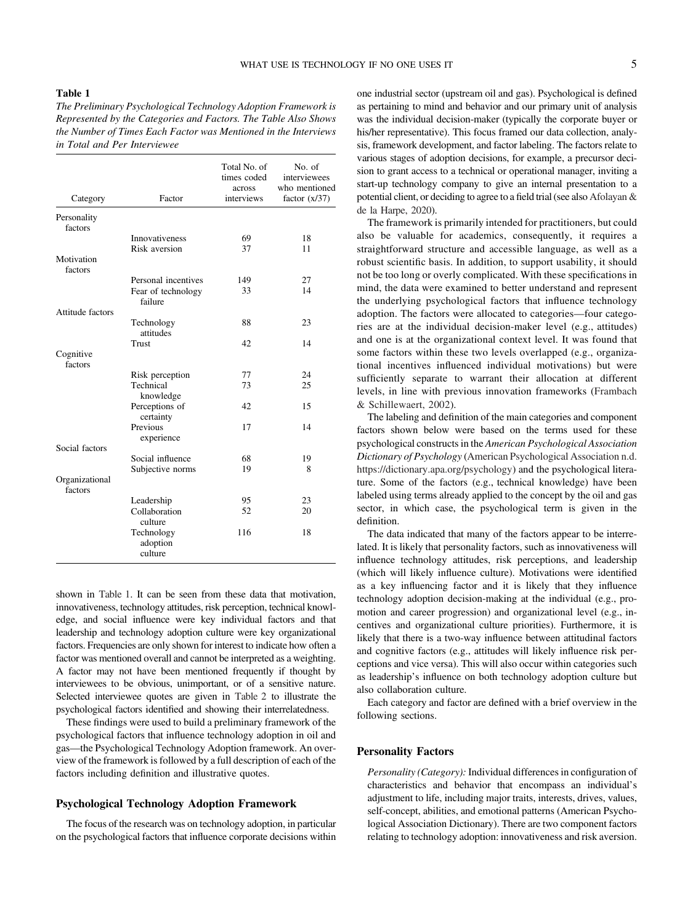## <span id="page-4-0"></span>Table 1

The Preliminary Psychological Technology Adoption Framework is Represented by the Categories and Factors. The Table Also Shows the Number of Times Each Factor was Mentioned in the Interviews in Total and Per Interviewee

| Category                  | Factor                            | Total No. of<br>times coded<br>across<br>interviews | No. of<br>interviewees<br>who mentioned<br>factor $(x/37)$ |
|---------------------------|-----------------------------------|-----------------------------------------------------|------------------------------------------------------------|
| Personality               |                                   |                                                     |                                                            |
| factors                   |                                   |                                                     |                                                            |
|                           | <b>Innovativeness</b>             | 69                                                  | 18                                                         |
|                           | Risk aversion                     | 37                                                  | 11                                                         |
| Motivation<br>factors     |                                   |                                                     |                                                            |
|                           | Personal incentives               | 149                                                 | 27                                                         |
|                           | Fear of technology<br>failure     | 33                                                  | 14                                                         |
| Attitude factors          |                                   |                                                     |                                                            |
|                           | Technology<br>attitudes           | 88                                                  | 23                                                         |
|                           | Trust                             | 42                                                  | 14                                                         |
| Cognitive<br>factors      |                                   |                                                     |                                                            |
|                           | Risk perception                   | 77                                                  | 24                                                         |
|                           | Technical<br>knowledge            | 73                                                  | 25                                                         |
|                           | Perceptions of<br>certainty       | 42                                                  | 15                                                         |
|                           | Previous<br>experience            | 17                                                  | 14                                                         |
| Social factors            |                                   |                                                     |                                                            |
|                           | Social influence                  | 68                                                  | 19                                                         |
|                           | Subjective norms                  | 19                                                  | 8                                                          |
| Organizational<br>factors |                                   |                                                     |                                                            |
|                           | Leadership                        | 95                                                  | 23                                                         |
|                           | Collaboration<br>culture          | 52                                                  | 20                                                         |
|                           | Technology<br>adoption<br>culture | 116                                                 | 18                                                         |

shown in Table 1. It can be seen from these data that motivation, innovativeness, technology attitudes, risk perception, technical knowledge, and social influence were key individual factors and that leadership and technology adoption culture were key organizational factors. Frequencies are only shown for interest to indicate how often a factor was mentioned overall and cannot be interpreted as a weighting. A factor may not have been mentioned frequently if thought by interviewees to be obvious, unimportant, or of a sensitive nature. Selected interviewee quotes are given in [Table 2](#page-5-0) to illustrate the psychological factors identified and showing their interrelatedness.

These findings were used to build a preliminary framework of the psychological factors that influence technology adoption in oil and gas—the Psychological Technology Adoption framework. An overview of the framework is followed by a full description of each of the factors including definition and illustrative quotes.

## Psychological Technology Adoption Framework

The focus of the research was on technology adoption, in particular on the psychological factors that influence corporate decisions within one industrial sector (upstream oil and gas). Psychological is defined as pertaining to mind and behavior and our primary unit of analysis was the individual decision-maker (typically the corporate buyer or his/her representative). This focus framed our data collection, analysis, framework development, and factor labeling. The factors relate to various stages of adoption decisions, for example, a precursor decision to grant access to a technical or operational manager, inviting a start-up technology company to give an internal presentation to a potential client, or deciding to agree to a field trial (see also [Afolayan &](#page-12-0) [de la Harpe, 2020\)](#page-12-0).

The framework is primarily intended for practitioners, but could also be valuable for academics, consequently, it requires a straightforward structure and accessible language, as well as a robust scientific basis. In addition, to support usability, it should not be too long or overly complicated. With these specifications in mind, the data were examined to better understand and represent the underlying psychological factors that influence technology adoption. The factors were allocated to categories—four categories are at the individual decision-maker level (e.g., attitudes) and one is at the organizational context level. It was found that some factors within these two levels overlapped (e.g., organizational incentives influenced individual motivations) but were sufficiently separate to warrant their allocation at different levels, in line with previous innovation frameworks [\(Frambach](#page-13-0) [& Schillewaert, 2002\)](#page-13-0).

The labeling and definition of the main categories and component factors shown below were based on the terms used for these psychological constructs in the American Psychological Association Dictionary of Psychology [\(American Psychological Association n.d.](#page-12-0) <https://dictionary.apa.org/psychology>) and the psychological literature. Some of the factors (e.g., technical knowledge) have been labeled using terms already applied to the concept by the oil and gas sector, in which case, the psychological term is given in the definition.

The data indicated that many of the factors appear to be interrelated. It is likely that personality factors, such as innovativeness will influence technology attitudes, risk perceptions, and leadership (which will likely influence culture). Motivations were identified as a key influencing factor and it is likely that they influence technology adoption decision-making at the individual (e.g., promotion and career progression) and organizational level (e.g., incentives and organizational culture priorities). Furthermore, it is likely that there is a two-way influence between attitudinal factors and cognitive factors (e.g., attitudes will likely influence risk perceptions and vice versa). This will also occur within categories such as leadership's influence on both technology adoption culture but also collaboration culture.

Each category and factor are defined with a brief overview in the following sections.

### Personality Factors

Personality (Category): Individual differences in configuration of characteristics and behavior that encompass an individual's adjustment to life, including major traits, interests, drives, values, self-concept, abilities, and emotional patterns (American Psychological Association Dictionary). There are two component factors relating to technology adoption: innovativeness and risk aversion.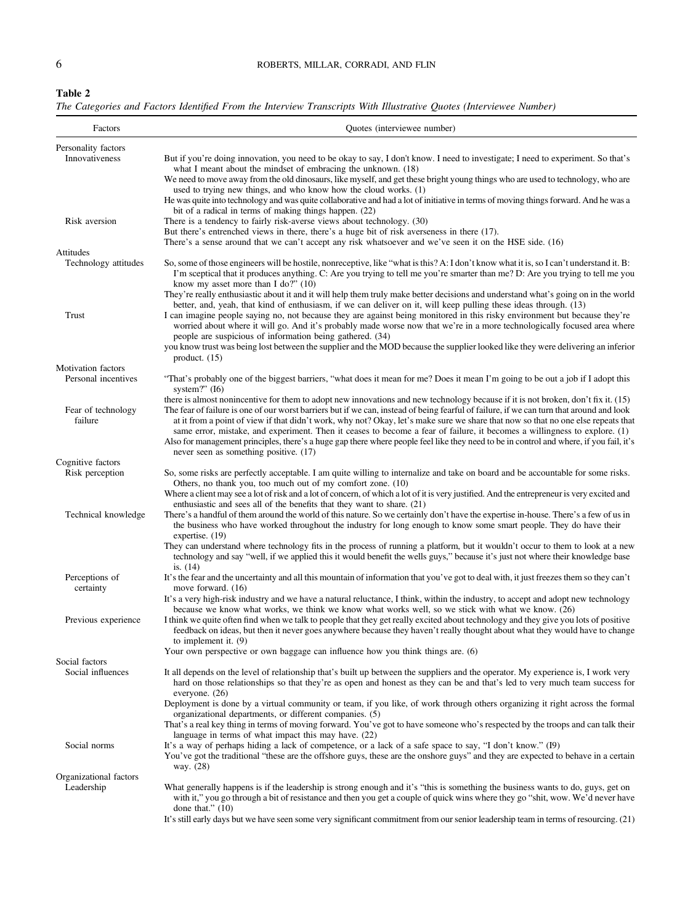<span id="page-5-0"></span>

| Table 2 |                                                                                                                    |  |  |  |  |  |
|---------|--------------------------------------------------------------------------------------------------------------------|--|--|--|--|--|
|         | The Categories and Factors Identified From the Interview Transcripts With Illustrative Ouotes (Interviewee Number) |  |  |  |  |  |

| Factors                              | Quotes (interviewee number)                                                                                                                                                                                                                                                                                                                                                                                        |
|--------------------------------------|--------------------------------------------------------------------------------------------------------------------------------------------------------------------------------------------------------------------------------------------------------------------------------------------------------------------------------------------------------------------------------------------------------------------|
| Personality factors                  |                                                                                                                                                                                                                                                                                                                                                                                                                    |
| Innovativeness                       | But if you're doing innovation, you need to be okay to say, I don't know. I need to investigate; I need to experiment. So that's<br>what I meant about the mindset of embracing the unknown. (18)                                                                                                                                                                                                                  |
|                                      | We need to move away from the old dinosaurs, like myself, and get these bright young things who are used to technology, who are<br>used to trying new things, and who know how the cloud works. (1)                                                                                                                                                                                                                |
|                                      | He was quite into technology and was quite collaborative and had a lot of initiative in terms of moving things forward. And he was a<br>bit of a radical in terms of making things happen. (22)                                                                                                                                                                                                                    |
| Risk aversion                        | There is a tendency to fairly risk-averse views about technology. (30)                                                                                                                                                                                                                                                                                                                                             |
|                                      | But there's entrenched views in there, there's a huge bit of risk averseness in there (17).<br>There's a sense around that we can't accept any risk whatsoever and we've seen it on the HSE side. (16)                                                                                                                                                                                                             |
| Attitudes                            |                                                                                                                                                                                                                                                                                                                                                                                                                    |
| Technology attitudes                 | So, some of those engineers will be hostile, nonreceptive, like "what is this? A: I don't know what it is, so I can't understand it. B:<br>I'm sceptical that it produces anything. C: Are you trying to tell me you're smarter than me? D: Are you trying to tell me you<br>know my asset more than I do?" $(10)$                                                                                                 |
|                                      | They're really enthusiastic about it and it will help them truly make better decisions and understand what's going on in the world<br>better, and, yeah, that kind of enthusiasm, if we can deliver on it, will keep pulling these ideas through. (13)                                                                                                                                                             |
| Trust                                | I can imagine people saying no, not because they are against being monitored in this risky environment but because they're<br>worried about where it will go. And it's probably made worse now that we're in a more technologically focused area where<br>people are suspicious of information being gathered. (34)                                                                                                |
|                                      | you know trust was being lost between the supplier and the MOD because the supplier looked like they were delivering an inferior<br>product. $(15)$                                                                                                                                                                                                                                                                |
| Motivation factors                   |                                                                                                                                                                                                                                                                                                                                                                                                                    |
| Personal incentives                  | "That's probably one of the biggest barriers, "what does it mean for me? Does it mean I'm going to be out a job if I adopt this<br>system?" $(I6)$                                                                                                                                                                                                                                                                 |
| Fear of technology<br>failure        | there is almost nonincentive for them to adopt new innovations and new technology because if it is not broken, don't fix it. (15)<br>The fear of failure is one of our worst barriers but if we can, instead of being fearful of failure, if we can turn that around and look<br>at it from a point of view if that didn't work, why not? Okay, let's make sure we share that now so that no one else repeats that |
|                                      | same error, mistake, and experiment. Then it ceases to become a fear of failure, it becomes a willingness to explore. (1)<br>Also for management principles, there's a huge gap there where people feel like they need to be in control and where, if you fail, it's<br>never seen as something positive. (17)                                                                                                     |
| Cognitive factors<br>Risk perception | So, some risks are perfectly acceptable. I am quite willing to internalize and take on board and be accountable for some risks.                                                                                                                                                                                                                                                                                    |
|                                      | Others, no thank you, too much out of my comfort zone. (10)                                                                                                                                                                                                                                                                                                                                                        |
|                                      | Where a client may see a lot of risk and a lot of concern, of which a lot of it is very justified. And the entrepreneur is very excited and<br>enthusiastic and sees all of the benefits that they want to share. (21)                                                                                                                                                                                             |
| Technical knowledge                  | There's a handful of them around the world of this nature. So we certainly don't have the expertise in-house. There's a few of us in<br>the business who have worked throughout the industry for long enough to know some smart people. They do have their<br>expertise. $(19)$                                                                                                                                    |
|                                      | They can understand where technology fits in the process of running a platform, but it wouldn't occur to them to look at a new<br>technology and say "well, if we applied this it would benefit the wells guys," because it's just not where their knowledge base<br>is. $(14)$                                                                                                                                    |
| Perceptions of<br>certainty          | It's the fear and the uncertainty and all this mountain of information that you've got to deal with, it just freezes them so they can't<br>move forward. (16)                                                                                                                                                                                                                                                      |
|                                      | It's a very high-risk industry and we have a natural reluctance, I think, within the industry, to accept and adopt new technology<br>because we know what works, we think we know what works well, so we stick with what we know. (26)                                                                                                                                                                             |
| Previous experience                  | I think we quite often find when we talk to people that they get really excited about technology and they give you lots of positive<br>feedback on ideas, but then it never goes anywhere because they haven't really thought about what they would have to change<br>to implement it. $(9)$                                                                                                                       |
|                                      | Your own perspective or own baggage can influence how you think things are. (6)                                                                                                                                                                                                                                                                                                                                    |
| Social factors                       |                                                                                                                                                                                                                                                                                                                                                                                                                    |
| Social influences                    | It all depends on the level of relationship that's built up between the suppliers and the operator. My experience is, I work very<br>hard on those relationships so that they're as open and honest as they can be and that's led to very much team success for<br>everyone. $(26)$                                                                                                                                |
|                                      | Deployment is done by a virtual community or team, if you like, of work through others organizing it right across the formal<br>organizational departments, or different companies. (5)<br>That's a real key thing in terms of moving forward. You've got to have someone who's respected by the troops and can talk their                                                                                         |
|                                      | language in terms of what impact this may have. (22)                                                                                                                                                                                                                                                                                                                                                               |
| Social norms                         | It's a way of perhaps hiding a lack of competence, or a lack of a safe space to say, "I don't know." (19)<br>You've got the traditional "these are the offshore guys, these are the onshore guys" and they are expected to behave in a certain<br>way. (28)                                                                                                                                                        |
| Organizational factors               |                                                                                                                                                                                                                                                                                                                                                                                                                    |
| Leadership                           | What generally happens is if the leadership is strong enough and it's "this is something the business wants to do, guys, get on<br>with it," you go through a bit of resistance and then you get a couple of quick wins where they go "shit, wow. We'd never have<br>done that." $(10)$                                                                                                                            |
|                                      | It's still early days but we have seen some very significant commitment from our senior leadership team in terms of resourcing. (21)                                                                                                                                                                                                                                                                               |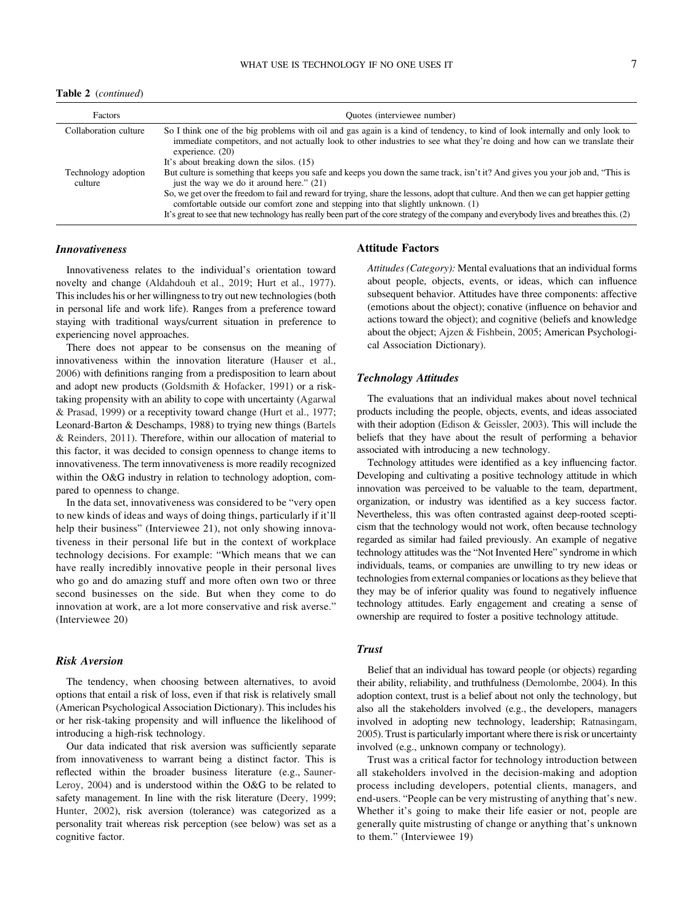Table 2 (continued)

| Factors                        | Quotes (interviewee number)                                                                                                                                                                                                                                                                                                                                                                                                                                                                                                                             |
|--------------------------------|---------------------------------------------------------------------------------------------------------------------------------------------------------------------------------------------------------------------------------------------------------------------------------------------------------------------------------------------------------------------------------------------------------------------------------------------------------------------------------------------------------------------------------------------------------|
| Collaboration culture          | So I think one of the big problems with oil and gas again is a kind of tendency, to kind of look internally and only look to<br>immediate competitors, and not actually look to other industries to see what they're doing and how can we translate their<br>experience. $(20)$<br>It's about breaking down the silos. (15)                                                                                                                                                                                                                             |
| Technology adoption<br>culture | But culture is something that keeps you safe and keeps you down the same track, isn't it? And gives you your job and, "This is<br>just the way we do it around here." $(21)$<br>So, we get over the freedom to fail and reward for trying, share the lessons, adopt that culture. And then we can get happier getting<br>comfortable outside our comfort zone and stepping into that slightly unknown. (1)<br>It's great to see that new technology has really been part of the core strategy of the company and everybody lives and breathes this. (2) |

## Innovativeness

Innovativeness relates to the individual's orientation toward novelty and change ([Aldahdouh et al., 2019;](#page-12-0) [Hurt et al., 1977\)](#page-13-0). This includes his or her willingness to try out new technologies (both in personal life and work life). Ranges from a preference toward staying with traditional ways/current situation in preference to experiencing novel approaches.

There does not appear to be consensus on the meaning of innovativeness within the innovation literature ([Hauser et al.,](#page-13-0) [2006\)](#page-13-0) with definitions ranging from a predisposition to learn about and adopt new products [\(Goldsmith & Hofacker, 1991](#page-13-0)) or a risktaking propensity with an ability to cope with uncertainty [\(Agarwal](#page-12-0) [& Prasad, 1999](#page-12-0)) or a receptivity toward change ([Hurt et al., 1977;](#page-13-0) Leonard-Barton & Deschamps, 1988) to trying new things ([Bartels](#page-12-0) [& Reinders, 2011\)](#page-12-0). Therefore, within our allocation of material to this factor, it was decided to consign openness to change items to innovativeness. The term innovativeness is more readily recognized within the O&G industry in relation to technology adoption, compared to openness to change.

In the data set, innovativeness was considered to be "very open to new kinds of ideas and ways of doing things, particularly if it'll help their business" (Interviewee 21), not only showing innovativeness in their personal life but in the context of workplace technology decisions. For example: "Which means that we can have really incredibly innovative people in their personal lives who go and do amazing stuff and more often own two or three second businesses on the side. But when they come to do innovation at work, are a lot more conservative and risk averse." (Interviewee 20)

#### Risk Aversion

The tendency, when choosing between alternatives, to avoid options that entail a risk of loss, even if that risk is relatively small (American Psychological Association Dictionary). This includes his or her risk-taking propensity and will influence the likelihood of introducing a high-risk technology.

Our data indicated that risk aversion was sufficiently separate from innovativeness to warrant being a distinct factor. This is reflected within the broader business literature (e.g., [Sauner-](#page-14-0)[Leroy, 2004\)](#page-14-0) and is understood within the O&G to be related to safety management. In line with the risk literature [\(Deery, 1999;](#page-13-0) [Hunter, 2002](#page-13-0)), risk aversion (tolerance) was categorized as a personality trait whereas risk perception (see below) was set as a cognitive factor.

#### Attitude Factors

Attitudes (Category): Mental evaluations that an individual forms about people, objects, events, or ideas, which can influence subsequent behavior. Attitudes have three components: affective (emotions about the object); conative (influence on behavior and actions toward the object); and cognitive (beliefs and knowledge about the object; [Ajzen & Fishbein, 2005;](#page-12-0) American Psychological Association Dictionary).

### Technology Attitudes

The evaluations that an individual makes about novel technical products including the people, objects, events, and ideas associated with their adoption [\(Edison & Geissler, 2003](#page-13-0)). This will include the beliefs that they have about the result of performing a behavior associated with introducing a new technology.

Technology attitudes were identified as a key influencing factor. Developing and cultivating a positive technology attitude in which innovation was perceived to be valuable to the team, department, organization, or industry was identified as a key success factor. Nevertheless, this was often contrasted against deep-rooted scepticism that the technology would not work, often because technology regarded as similar had failed previously. An example of negative technology attitudes was the "Not Invented Here" syndrome in which individuals, teams, or companies are unwilling to try new ideas or technologies from external companies or locations as they believe that they may be of inferior quality was found to negatively influence technology attitudes. Early engagement and creating a sense of ownership are required to foster a positive technology attitude.

## **Trust**

Belief that an individual has toward people (or objects) regarding their ability, reliability, and truthfulness ([Demolombe, 2004](#page-13-0)). In this adoption context, trust is a belief about not only the technology, but also all the stakeholders involved (e.g., the developers, managers involved in adopting new technology, leadership; [Ratnasingam,](#page-14-0) [2005\)](#page-14-0). Trust is particularly important where there is risk or uncertainty involved (e.g., unknown company or technology).

Trust was a critical factor for technology introduction between all stakeholders involved in the decision-making and adoption process including developers, potential clients, managers, and end-users. "People can be very mistrusting of anything that's new. Whether it's going to make their life easier or not, people are generally quite mistrusting of change or anything that's unknown to them." (Interviewee 19)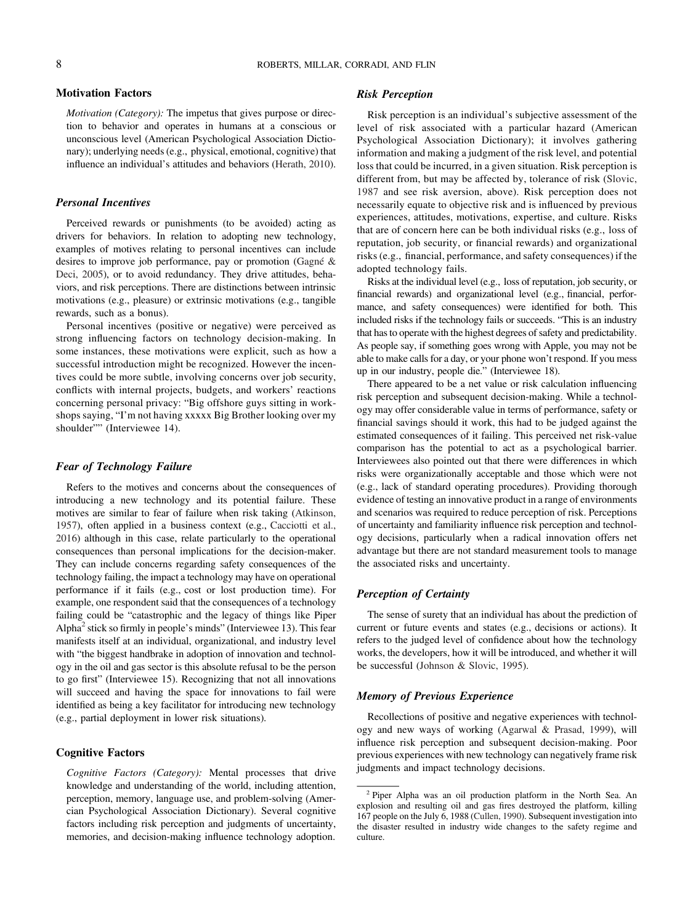## Motivation Factors

Motivation (Category): The impetus that gives purpose or direction to behavior and operates in humans at a conscious or unconscious level (American Psychological Association Dictionary); underlying needs (e.g., physical, emotional, cognitive) that influence an individual's attitudes and behaviors ([Herath, 2010\)](#page-13-0).

#### Personal Incentives

Perceived rewards or punishments (to be avoided) acting as drivers for behaviors. In relation to adopting new technology, examples of motives relating to personal incentives can include desires to improve job performance, pay or promotion [\(Gagné &](#page-13-0) [Deci, 2005](#page-13-0)), or to avoid redundancy. They drive attitudes, behaviors, and risk perceptions. There are distinctions between intrinsic motivations (e.g., pleasure) or extrinsic motivations (e.g., tangible rewards, such as a bonus).

Personal incentives (positive or negative) were perceived as strong influencing factors on technology decision-making. In some instances, these motivations were explicit, such as how a successful introduction might be recognized. However the incentives could be more subtle, involving concerns over job security, conflicts with internal projects, budgets, and workers' reactions concerning personal privacy: "Big offshore guys sitting in workshops saying, "I'm not having xxxxx Big Brother looking over my shoulder"" (Interviewee 14).

## Fear of Technology Failure

Refers to the motives and concerns about the consequences of introducing a new technology and its potential failure. These motives are similar to fear of failure when risk taking ([Atkinson,](#page-12-0) [1957\)](#page-12-0), often applied in a business context (e.g., [Cacciotti et al.,](#page-12-0) [2016\)](#page-12-0) although in this case, relate particularly to the operational consequences than personal implications for the decision-maker. They can include concerns regarding safety consequences of the technology failing, the impact a technology may have on operational performance if it fails (e.g., cost or lost production time). For example, one respondent said that the consequences of a technology failing could be "catastrophic and the legacy of things like Piper Alpha<sup>2</sup> stick so firmly in people's minds" (Interviewee 13). This fear manifests itself at an individual, organizational, and industry level with "the biggest handbrake in adoption of innovation and technology in the oil and gas sector is this absolute refusal to be the person to go first" (Interviewee 15). Recognizing that not all innovations will succeed and having the space for innovations to fail were identified as being a key facilitator for introducing new technology (e.g., partial deployment in lower risk situations).

#### Cognitive Factors

Cognitive Factors (Category): Mental processes that drive knowledge and understanding of the world, including attention, perception, memory, language use, and problem-solving (Amercian Psychological Association Dictionary). Several cognitive factors including risk perception and judgments of uncertainty, memories, and decision-making influence technology adoption.

#### Risk Perception

Risk perception is an individual's subjective assessment of the level of risk associated with a particular hazard (American Psychological Association Dictionary); it involves gathering information and making a judgment of the risk level, and potential loss that could be incurred, in a given situation. Risk perception is different from, but may be affected by, tolerance of risk [\(Slovic,](#page-14-0) [1987](#page-14-0) and see risk aversion, above). Risk perception does not necessarily equate to objective risk and is influenced by previous experiences, attitudes, motivations, expertise, and culture. Risks that are of concern here can be both individual risks (e.g., loss of reputation, job security, or financial rewards) and organizational risks (e.g., financial, performance, and safety consequences) if the adopted technology fails.

Risks at the individual level (e.g., loss of reputation, job security, or financial rewards) and organizational level (e.g., financial, performance, and safety consequences) were identified for both. This included risks if the technology fails or succeeds. "This is an industry that has to operate with the highest degrees of safety and predictability. As people say, if something goes wrong with Apple, you may not be able to make calls for a day, or your phone won't respond. If you mess up in our industry, people die." (Interviewee 18).

There appeared to be a net value or risk calculation influencing risk perception and subsequent decision-making. While a technology may offer considerable value in terms of performance, safety or financial savings should it work, this had to be judged against the estimated consequences of it failing. This perceived net risk-value comparison has the potential to act as a psychological barrier. Interviewees also pointed out that there were differences in which risks were organizationally acceptable and those which were not (e.g., lack of standard operating procedures). Providing thorough evidence of testing an innovative product in a range of environments and scenarios was required to reduce perception of risk. Perceptions of uncertainty and familiarity influence risk perception and technology decisions, particularly when a radical innovation offers net advantage but there are not standard measurement tools to manage the associated risks and uncertainty.

### Perception of Certainty

The sense of surety that an individual has about the prediction of current or future events and states (e.g., decisions or actions). It refers to the judged level of confidence about how the technology works, the developers, how it will be introduced, and whether it will be successful ([Johnson & Slovic, 1995](#page-13-0)).

#### Memory of Previous Experience

Recollections of positive and negative experiences with technology and new ways of working ([Agarwal & Prasad, 1999](#page-12-0)), will influence risk perception and subsequent decision-making. Poor previous experiences with new technology can negatively frame risk judgments and impact technology decisions.

<sup>2</sup> Piper Alpha was an oil production platform in the North Sea. An explosion and resulting oil and gas fires destroyed the platform, killing 167 people on the July 6, 1988 [\(Cullen, 1990\)](#page-12-0). Subsequent investigation into the disaster resulted in industry wide changes to the safety regime and culture.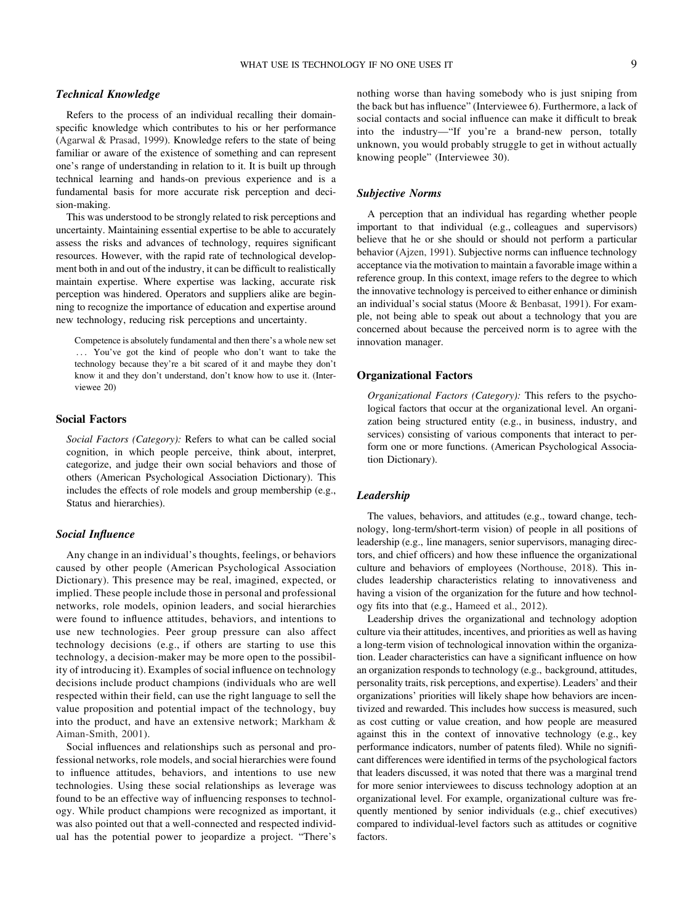#### Technical Knowledge

Refers to the process of an individual recalling their domainspecific knowledge which contributes to his or her performance ([Agarwal & Prasad, 1999\)](#page-12-0). Knowledge refers to the state of being familiar or aware of the existence of something and can represent one's range of understanding in relation to it. It is built up through technical learning and hands-on previous experience and is a fundamental basis for more accurate risk perception and decision-making.

This was understood to be strongly related to risk perceptions and uncertainty. Maintaining essential expertise to be able to accurately assess the risks and advances of technology, requires significant resources. However, with the rapid rate of technological development both in and out of the industry, it can be difficult to realistically maintain expertise. Where expertise was lacking, accurate risk perception was hindered. Operators and suppliers alike are beginning to recognize the importance of education and expertise around new technology, reducing risk perceptions and uncertainty.

Competence is absolutely fundamental and then there's a whole new set ::: You've got the kind of people who don't want to take the technology because they're a bit scared of it and maybe they don't know it and they don't understand, don't know how to use it. (Interviewee 20)

## Social Factors

Social Factors (Category): Refers to what can be called social cognition, in which people perceive, think about, interpret, categorize, and judge their own social behaviors and those of others (American Psychological Association Dictionary). This includes the effects of role models and group membership (e.g., Status and hierarchies).

#### Social Influence

Any change in an individual's thoughts, feelings, or behaviors caused by other people (American Psychological Association Dictionary). This presence may be real, imagined, expected, or implied. These people include those in personal and professional networks, role models, opinion leaders, and social hierarchies were found to influence attitudes, behaviors, and intentions to use new technologies. Peer group pressure can also affect technology decisions (e.g., if others are starting to use this technology, a decision-maker may be more open to the possibility of introducing it). Examples of social influence on technology decisions include product champions (individuals who are well respected within their field, can use the right language to sell the value proposition and potential impact of the technology, buy into the product, and have an extensive network; [Markham &](#page-13-0) [Aiman-Smith, 2001](#page-13-0)).

Social influences and relationships such as personal and professional networks, role models, and social hierarchies were found to influence attitudes, behaviors, and intentions to use new technologies. Using these social relationships as leverage was found to be an effective way of influencing responses to technology. While product champions were recognized as important, it was also pointed out that a well-connected and respected individual has the potential power to jeopardize a project. "There's nothing worse than having somebody who is just sniping from the back but has influence" (Interviewee 6). Furthermore, a lack of social contacts and social influence can make it difficult to break into the industry—"If you're a brand-new person, totally unknown, you would probably struggle to get in without actually knowing people" (Interviewee 30).

### Subjective Norms

A perception that an individual has regarding whether people important to that individual (e.g., colleagues and supervisors) believe that he or she should or should not perform a particular behavior [\(Ajzen, 1991\)](#page-12-0). Subjective norms can influence technology acceptance via the motivation to maintain a favorable image within a reference group. In this context, image refers to the degree to which the innovative technology is perceived to either enhance or diminish an individual's social status ([Moore & Benbasat, 1991](#page-14-0)). For example, not being able to speak out about a technology that you are concerned about because the perceived norm is to agree with the innovation manager.

#### Organizational Factors

Organizational Factors (Category): This refers to the psychological factors that occur at the organizational level. An organization being structured entity (e.g., in business, industry, and services) consisting of various components that interact to perform one or more functions. (American Psychological Association Dictionary).

#### Leadership

The values, behaviors, and attitudes (e.g., toward change, technology, long-term/short-term vision) of people in all positions of leadership (e.g., line managers, senior supervisors, managing directors, and chief officers) and how these influence the organizational culture and behaviors of employees [\(Northouse, 2018](#page-14-0)). This includes leadership characteristics relating to innovativeness and having a vision of the organization for the future and how technology fits into that (e.g., [Hameed et al., 2012](#page-13-0)).

Leadership drives the organizational and technology adoption culture via their attitudes, incentives, and priorities as well as having a long-term vision of technological innovation within the organization. Leader characteristics can have a significant influence on how an organization responds to technology (e.g., background, attitudes, personality traits, risk perceptions, and expertise). Leaders' and their organizations' priorities will likely shape how behaviors are incentivized and rewarded. This includes how success is measured, such as cost cutting or value creation, and how people are measured against this in the context of innovative technology (e.g., key performance indicators, number of patents filed). While no significant differences were identified in terms of the psychological factors that leaders discussed, it was noted that there was a marginal trend for more senior interviewees to discuss technology adoption at an organizational level. For example, organizational culture was frequently mentioned by senior individuals (e.g., chief executives) compared to individual-level factors such as attitudes or cognitive factors.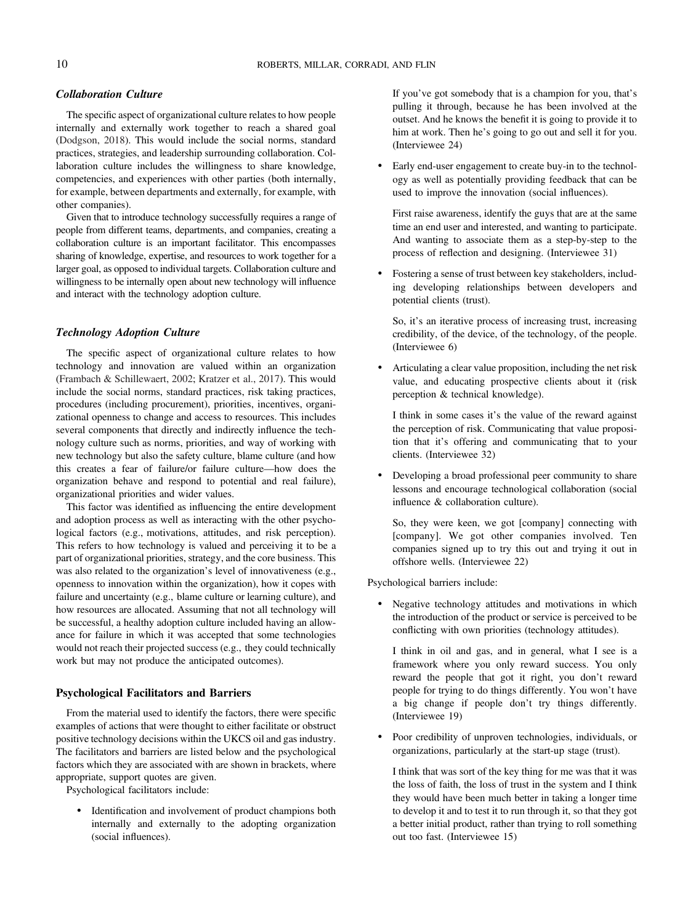## Collaboration Culture

The specific aspect of organizational culture relates to how people internally and externally work together to reach a shared goal ([Dodgson, 2018](#page-13-0)). This would include the social norms, standard practices, strategies, and leadership surrounding collaboration. Collaboration culture includes the willingness to share knowledge, competencies, and experiences with other parties (both internally, for example, between departments and externally, for example, with other companies).

Given that to introduce technology successfully requires a range of people from different teams, departments, and companies, creating a collaboration culture is an important facilitator. This encompasses sharing of knowledge, expertise, and resources to work together for a larger goal, as opposed to individual targets. Collaboration culture and willingness to be internally open about new technology will influence and interact with the technology adoption culture.

# Technology Adoption Culture

The specific aspect of organizational culture relates to how technology and innovation are valued within an organization ([Frambach & Schillewaert, 2002](#page-13-0); [Kratzer et al., 2017\)](#page-13-0). This would include the social norms, standard practices, risk taking practices, procedures (including procurement), priorities, incentives, organizational openness to change and access to resources. This includes several components that directly and indirectly influence the technology culture such as norms, priorities, and way of working with new technology but also the safety culture, blame culture (and how this creates a fear of failure/or failure culture—how does the organization behave and respond to potential and real failure), organizational priorities and wider values.

This factor was identified as influencing the entire development and adoption process as well as interacting with the other psychological factors (e.g., motivations, attitudes, and risk perception). This refers to how technology is valued and perceiving it to be a part of organizational priorities, strategy, and the core business. This was also related to the organization's level of innovativeness (e.g., openness to innovation within the organization), how it copes with failure and uncertainty (e.g., blame culture or learning culture), and how resources are allocated. Assuming that not all technology will be successful, a healthy adoption culture included having an allowance for failure in which it was accepted that some technologies would not reach their projected success (e.g., they could technically work but may not produce the anticipated outcomes).

## Psychological Facilitators and Barriers

From the material used to identify the factors, there were specific examples of actions that were thought to either facilitate or obstruct positive technology decisions within the UKCS oil and gas industry. The facilitators and barriers are listed below and the psychological factors which they are associated with are shown in brackets, where appropriate, support quotes are given.

Psychological facilitators include:

Identification and involvement of product champions both internally and externally to the adopting organization (social influences).

If you've got somebody that is a champion for you, that's pulling it through, because he has been involved at the outset. And he knows the benefit it is going to provide it to him at work. Then he's going to go out and sell it for you. (Interviewee 24)

• Early end-user engagement to create buy-in to the technology as well as potentially providing feedback that can be used to improve the innovation (social influences).

First raise awareness, identify the guys that are at the same time an end user and interested, and wanting to participate. And wanting to associate them as a step-by-step to the process of reflection and designing. (Interviewee 31)

• Fostering a sense of trust between key stakeholders, including developing relationships between developers and potential clients (trust).

So, it's an iterative process of increasing trust, increasing credibility, of the device, of the technology, of the people. (Interviewee 6)

• Articulating a clear value proposition, including the net risk value, and educating prospective clients about it (risk perception & technical knowledge).

I think in some cases it's the value of the reward against the perception of risk. Communicating that value proposition that it's offering and communicating that to your clients. (Interviewee 32)

• Developing a broad professional peer community to share lessons and encourage technological collaboration (social influence & collaboration culture).

So, they were keen, we got [company] connecting with [company]. We got other companies involved. Ten companies signed up to try this out and trying it out in offshore wells. (Interviewee 22)

Psychological barriers include:

Negative technology attitudes and motivations in which the introduction of the product or service is perceived to be conflicting with own priorities (technology attitudes).

I think in oil and gas, and in general, what I see is a framework where you only reward success. You only reward the people that got it right, you don't reward people for trying to do things differently. You won't have a big change if people don't try things differently. (Interviewee 19)

• Poor credibility of unproven technologies, individuals, or organizations, particularly at the start-up stage (trust).

I think that was sort of the key thing for me was that it was the loss of faith, the loss of trust in the system and I think they would have been much better in taking a longer time to develop it and to test it to run through it, so that they got a better initial product, rather than trying to roll something out too fast. (Interviewee 15)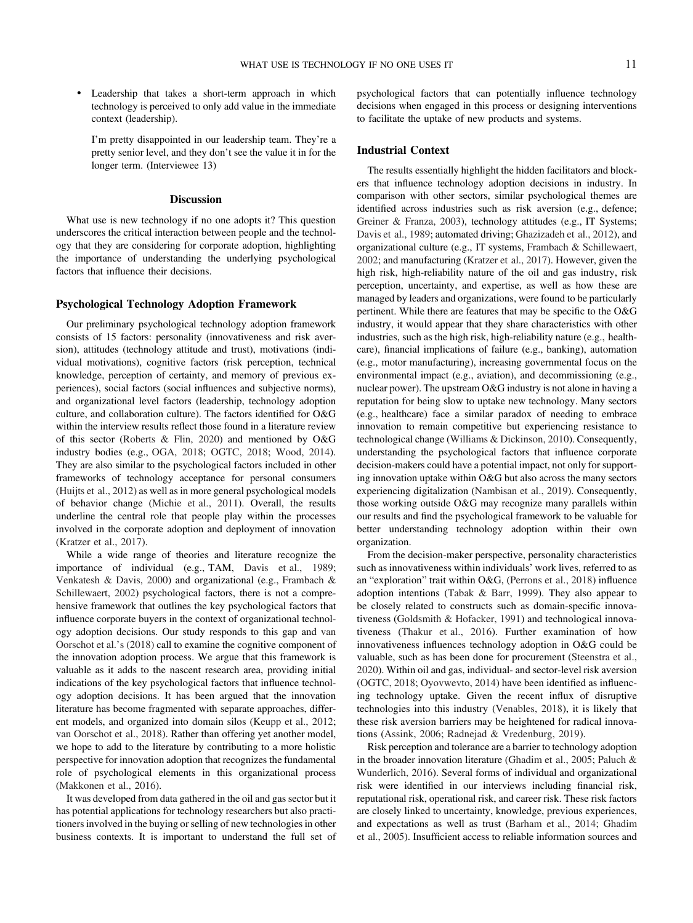• Leadership that takes a short-term approach in which technology is perceived to only add value in the immediate context (leadership).

I'm pretty disappointed in our leadership team. They're a pretty senior level, and they don't see the value it in for the longer term. (Interviewee 13)

#### **Discussion**

What use is new technology if no one adopts it? This question underscores the critical interaction between people and the technology that they are considering for corporate adoption, highlighting the importance of understanding the underlying psychological factors that influence their decisions.

#### Psychological Technology Adoption Framework

Our preliminary psychological technology adoption framework consists of 15 factors: personality (innovativeness and risk aversion), attitudes (technology attitude and trust), motivations (individual motivations), cognitive factors (risk perception, technical knowledge, perception of certainty, and memory of previous experiences), social factors (social influences and subjective norms), and organizational level factors (leadership, technology adoption culture, and collaboration culture). The factors identified for O&G within the interview results reflect those found in a literature review of this sector ([Roberts & Flin, 2020\)](#page-14-0) and mentioned by O&G industry bodies (e.g., [OGA, 2018](#page-14-0); [OGTC, 2018;](#page-14-0) [Wood, 2014\)](#page-15-0). They are also similar to the psychological factors included in other frameworks of technology acceptance for personal consumers ([Huijts et al., 2012](#page-13-0)) as well as in more general psychological models of behavior change [\(Michie et al., 2011](#page-14-0)). Overall, the results underline the central role that people play within the processes involved in the corporate adoption and deployment of innovation ([Kratzer et al., 2017\)](#page-13-0).

While a wide range of theories and literature recognize the importance of individual (e.g., TAM, [Davis et al., 1989;](#page-13-0) [Venkatesh & Davis, 2000\)](#page-15-0) and organizational (e.g., [Frambach &](#page-13-0) [Schillewaert, 2002](#page-13-0)) psychological factors, there is not a comprehensive framework that outlines the key psychological factors that influence corporate buyers in the context of organizational technology adoption decisions. Our study responds to this gap and [van](#page-15-0) [Oorschot et al.](#page-15-0)'s (2018) call to examine the cognitive component of the innovation adoption process. We argue that this framework is valuable as it adds to the nascent research area, providing initial indications of the key psychological factors that influence technology adoption decisions. It has been argued that the innovation literature has become fragmented with separate approaches, different models, and organized into domain silos [\(Keupp et al., 2012;](#page-13-0) [van Oorschot et al., 2018\)](#page-15-0). Rather than offering yet another model, we hope to add to the literature by contributing to a more holistic perspective for innovation adoption that recognizes the fundamental role of psychological elements in this organizational process ([Makkonen et al., 2016](#page-13-0)).

It was developed from data gathered in the oil and gas sector but it has potential applications for technology researchers but also practitioners involved in the buying or selling of new technologies in other business contexts. It is important to understand the full set of

psychological factors that can potentially influence technology decisions when engaged in this process or designing interventions to facilitate the uptake of new products and systems.

#### Industrial Context

The results essentially highlight the hidden facilitators and blockers that influence technology adoption decisions in industry. In comparison with other sectors, similar psychological themes are identified across industries such as risk aversion (e.g., defence; [Greiner & Franza, 2003](#page-13-0)), technology attitudes (e.g., IT Systems; [Davis et al., 1989;](#page-13-0) automated driving; [Ghazizadeh et al., 2012](#page-13-0)), and organizational culture (e.g., IT systems, [Frambach & Schillewaert,](#page-13-0) [2002;](#page-13-0) and manufacturing [\(Kratzer et al., 2017](#page-13-0)). However, given the high risk, high-reliability nature of the oil and gas industry, risk perception, uncertainty, and expertise, as well as how these are managed by leaders and organizations, were found to be particularly pertinent. While there are features that may be specific to the O&G industry, it would appear that they share characteristics with other industries, such as the high risk, high-reliability nature (e.g., healthcare), financial implications of failure (e.g., banking), automation (e.g., motor manufacturing), increasing governmental focus on the environmental impact (e.g., aviation), and decommissioning (e.g., nuclear power). The upstream O&G industry is not alone in having a reputation for being slow to uptake new technology. Many sectors (e.g., healthcare) face a similar paradox of needing to embrace innovation to remain competitive but experiencing resistance to technological change ([Williams & Dickinson, 2010\)](#page-15-0). Consequently, understanding the psychological factors that influence corporate decision-makers could have a potential impact, not only for supporting innovation uptake within O&G but also across the many sectors experiencing digitalization [\(Nambisan et al., 2019\)](#page-14-0). Consequently, those working outside O&G may recognize many parallels within our results and find the psychological framework to be valuable for better understanding technology adoption within their own organization.

From the decision-maker perspective, personality characteristics such as innovativeness within individuals' work lives, referred to as an "exploration" trait within O&G, [\(Perrons et al., 2018\)](#page-14-0) influence adoption intentions ([Tabak & Barr, 1999](#page-15-0)). They also appear to be closely related to constructs such as domain-specific innovativeness [\(Goldsmith & Hofacker, 1991\)](#page-13-0) and technological innovativeness [\(Thakur et al., 2016\)](#page-15-0). Further examination of how innovativeness influences technology adoption in O&G could be valuable, such as has been done for procurement ([Steenstra et al.,](#page-14-0) [2020](#page-14-0)). Within oil and gas, individual- and sector-level risk aversion ([OGTC, 2018;](#page-14-0) [Oyovwevto, 2014](#page-14-0)) have been identified as influencing technology uptake. Given the recent influx of disruptive technologies into this industry ([Venables, 2018](#page-15-0)), it is likely that these risk aversion barriers may be heightened for radical innovations [\(Assink, 2006;](#page-12-0) [Radnejad & Vredenburg, 2019\)](#page-14-0).

Risk perception and tolerance are a barrier to technology adoption in the broader innovation literature ([Ghadim et al., 2005;](#page-13-0) [Paluch &](#page-14-0) [Wunderlich, 2016\)](#page-14-0). Several forms of individual and organizational risk were identified in our interviews including financial risk, reputational risk, operational risk, and career risk. These risk factors are closely linked to uncertainty, knowledge, previous experiences, and expectations as well as trust [\(Barham et al., 2014;](#page-12-0) [Ghadim](#page-13-0) [et al., 2005\)](#page-13-0). Insufficient access to reliable information sources and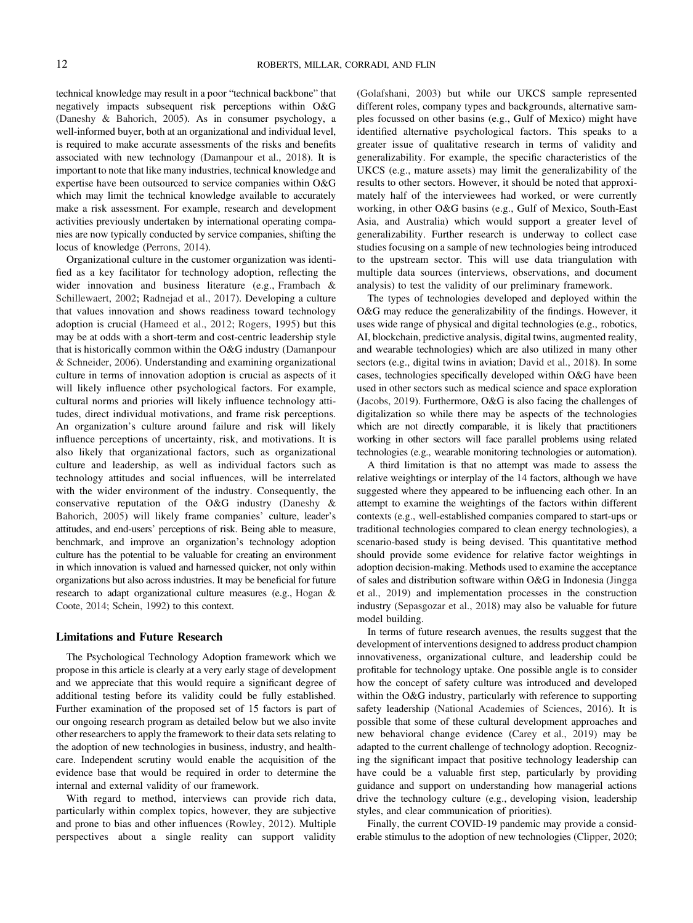technical knowledge may result in a poor "technical backbone" that negatively impacts subsequent risk perceptions within O&G ([Daneshy & Bahorich, 2005\)](#page-12-0). As in consumer psychology, a well-informed buyer, both at an organizational and individual level, is required to make accurate assessments of the risks and benefits associated with new technology ([Damanpour et al., 2018](#page-12-0)). It is important to note that like many industries, technical knowledge and expertise have been outsourced to service companies within O&G which may limit the technical knowledge available to accurately make a risk assessment. For example, research and development activities previously undertaken by international operating companies are now typically conducted by service companies, shifting the locus of knowledge [\(Perrons, 2014\)](#page-14-0).

Organizational culture in the customer organization was identified as a key facilitator for technology adoption, reflecting the wider innovation and business literature (e.g., [Frambach &](#page-13-0) [Schillewaert, 2002](#page-13-0); [Radnejad et al., 2017\)](#page-14-0). Developing a culture that values innovation and shows readiness toward technology adoption is crucial [\(Hameed et al., 2012;](#page-13-0) [Rogers, 1995\)](#page-14-0) but this may be at odds with a short-term and cost-centric leadership style that is historically common within the O&G industry ([Damanpour](#page-12-0) [& Schneider, 2006\)](#page-12-0). Understanding and examining organizational culture in terms of innovation adoption is crucial as aspects of it will likely influence other psychological factors. For example, cultural norms and priories will likely influence technology attitudes, direct individual motivations, and frame risk perceptions. An organization's culture around failure and risk will likely influence perceptions of uncertainty, risk, and motivations. It is also likely that organizational factors, such as organizational culture and leadership, as well as individual factors such as technology attitudes and social influences, will be interrelated with the wider environment of the industry. Consequently, the conservative reputation of the O&G industry ([Daneshy &](#page-12-0) [Bahorich, 2005\)](#page-12-0) will likely frame companies' culture, leader's attitudes, and end-users' perceptions of risk. Being able to measure, benchmark, and improve an organization's technology adoption culture has the potential to be valuable for creating an environment in which innovation is valued and harnessed quicker, not only within organizations but also across industries. It may be beneficial for future research to adapt organizational culture measures (e.g., [Hogan &](#page-13-0) [Coote, 2014](#page-13-0); [Schein, 1992](#page-14-0)) to this context.

#### Limitations and Future Research

The Psychological Technology Adoption framework which we propose in this article is clearly at a very early stage of development and we appreciate that this would require a significant degree of additional testing before its validity could be fully established. Further examination of the proposed set of 15 factors is part of our ongoing research program as detailed below but we also invite other researchers to apply the framework to their data sets relating to the adoption of new technologies in business, industry, and healthcare. Independent scrutiny would enable the acquisition of the evidence base that would be required in order to determine the internal and external validity of our framework.

With regard to method, interviews can provide rich data, particularly within complex topics, however, they are subjective and prone to bias and other influences [\(Rowley, 2012](#page-14-0)). Multiple perspectives about a single reality can support validity

([Golafshani, 2003\)](#page-13-0) but while our UKCS sample represented different roles, company types and backgrounds, alternative samples focussed on other basins (e.g., Gulf of Mexico) might have identified alternative psychological factors. This speaks to a greater issue of qualitative research in terms of validity and generalizability. For example, the specific characteristics of the UKCS (e.g., mature assets) may limit the generalizability of the results to other sectors. However, it should be noted that approximately half of the interviewees had worked, or were currently working, in other O&G basins (e.g., Gulf of Mexico, South-East Asia, and Australia) which would support a greater level of generalizability. Further research is underway to collect case studies focusing on a sample of new technologies being introduced to the upstream sector. This will use data triangulation with multiple data sources (interviews, observations, and document analysis) to test the validity of our preliminary framework.

The types of technologies developed and deployed within the O&G may reduce the generalizability of the findings. However, it uses wide range of physical and digital technologies (e.g., robotics, AI, blockchain, predictive analysis, digital twins, augmented reality, and wearable technologies) which are also utilized in many other sectors (e.g., digital twins in aviation; [David et al., 2018](#page-12-0)). In some cases, technologies specifically developed within O&G have been used in other sectors such as medical science and space exploration ([Jacobs, 2019\)](#page-13-0). Furthermore, O&G is also facing the challenges of digitalization so while there may be aspects of the technologies which are not directly comparable, it is likely that practitioners working in other sectors will face parallel problems using related technologies (e.g., wearable monitoring technologies or automation).

A third limitation is that no attempt was made to assess the relative weightings or interplay of the 14 factors, although we have suggested where they appeared to be influencing each other. In an attempt to examine the weightings of the factors within different contexts (e.g., well-established companies compared to start-ups or traditional technologies compared to clean energy technologies), a scenario-based study is being devised. This quantitative method should provide some evidence for relative factor weightings in adoption decision-making. Methods used to examine the acceptance of sales and distribution software within O&G in Indonesia ([Jingga](#page-13-0) [et al., 2019](#page-13-0)) and implementation processes in the construction industry [\(Sepasgozar et al., 2018\)](#page-14-0) may also be valuable for future model building.

In terms of future research avenues, the results suggest that the development of interventions designed to address product champion innovativeness, organizational culture, and leadership could be profitable for technology uptake. One possible angle is to consider how the concept of safety culture was introduced and developed within the O&G industry, particularly with reference to supporting safety leadership [\(National Academies of Sciences, 2016](#page-14-0)). It is possible that some of these cultural development approaches and new behavioral change evidence [\(Carey et al., 2019\)](#page-12-0) may be adapted to the current challenge of technology adoption. Recognizing the significant impact that positive technology leadership can have could be a valuable first step, particularly by providing guidance and support on understanding how managerial actions drive the technology culture (e.g., developing vision, leadership styles, and clear communication of priorities).

Finally, the current COVID-19 pandemic may provide a considerable stimulus to the adoption of new technologies [\(Clipper, 2020;](#page-12-0)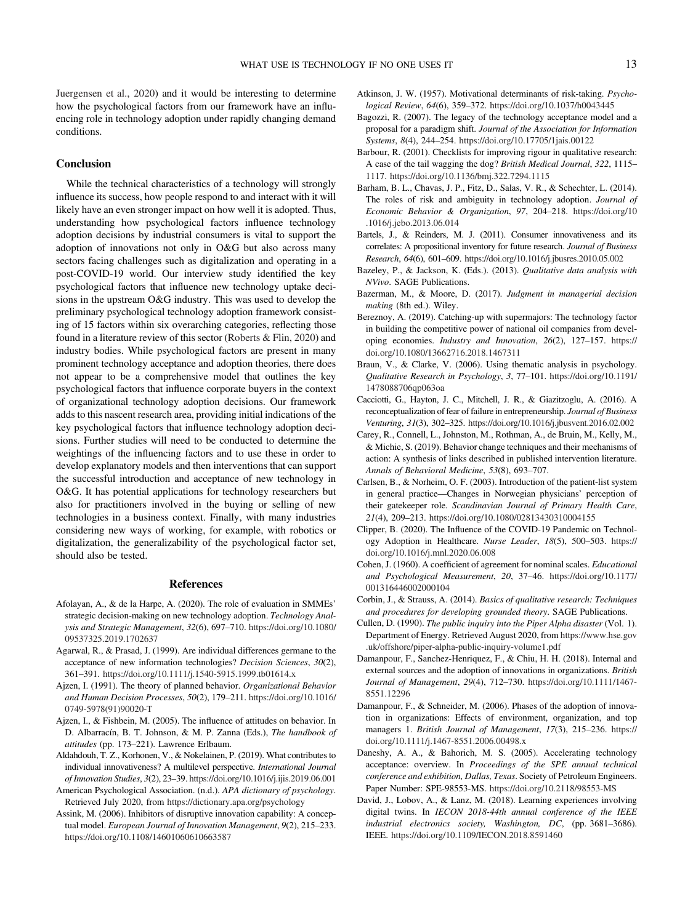## <span id="page-12-0"></span>**Conclusion**

While the technical characteristics of a technology will strongly influence its success, how people respond to and interact with it will likely have an even stronger impact on how well it is adopted. Thus, understanding how psychological factors influence technology adoption decisions by industrial consumers is vital to support the adoption of innovations not only in O&G but also across many sectors facing challenges such as digitalization and operating in a post-COVID-19 world. Our interview study identified the key psychological factors that influence new technology uptake decisions in the upstream O&G industry. This was used to develop the preliminary psychological technology adoption framework consisting of 15 factors within six overarching categories, reflecting those found in a literature review of this sector [\(Roberts & Flin, 2020](#page-14-0)) and industry bodies. While psychological factors are present in many prominent technology acceptance and adoption theories, there does not appear to be a comprehensive model that outlines the key psychological factors that influence corporate buyers in the context of organizational technology adoption decisions. Our framework adds to this nascent research area, providing initial indications of the key psychological factors that influence technology adoption decisions. Further studies will need to be conducted to determine the weightings of the influencing factors and to use these in order to develop explanatory models and then interventions that can support the successful introduction and acceptance of new technology in O&G. It has potential applications for technology researchers but also for practitioners involved in the buying or selling of new technologies in a business context. Finally, with many industries considering new ways of working, for example, with robotics or digitalization, the generalizability of the psychological factor set, should also be tested.

## References

- Afolayan, A., & de la Harpe, A. (2020). The role of evaluation in SMMEs' strategic decision-making on new technology adoption. Technology Analysis and Strategic Management, 32(6), 697–710. [https://doi.org/10.1080/](https://doi.org/10.1080/09537325.2019.1702637) [09537325.2019.1702637](https://doi.org/10.1080/09537325.2019.1702637)
- Agarwal, R., & Prasad, J. (1999). Are individual differences germane to the acceptance of new information technologies? Decision Sciences, 30(2), 361–391. <https://doi.org/10.1111/j.1540-5915.1999.tb01614.x>
- Ajzen, I. (1991). The theory of planned behavior. Organizational Behavior and Human Decision Processes, 50(2), 179–211. [https://doi.org/10.1016/](https://doi.org/10.1016/0749-5978(91)90020-T) [0749-5978\(91\)90020-T](https://doi.org/10.1016/0749-5978(91)90020-T)
- Ajzen, I., & Fishbein, M. (2005). The influence of attitudes on behavior. In D. Albarracín, B. T. Johnson, & M. P. Zanna (Eds.), The handbook of attitudes (pp. 173–221). Lawrence Erlbaum.
- Aldahdouh, T. Z., Korhonen, V., & Nokelainen, P. (2019). What contributes to individual innovativeness? A multilevel perspective. International Journal of Innovation Studies, 3(2), 23–39. <https://doi.org/10.1016/j.ijis.2019.06.001>

American Psychological Association. (n.d.). APA dictionary of psychology. Retrieved July 2020, from <https://dictionary.apa.org/psychology>

Assink, M. (2006). Inhibitors of disruptive innovation capability: A conceptual model. European Journal of Innovation Management, 9(2), 215–233. <https://doi.org/10.1108/14601060610663587>

- Atkinson, J. W. (1957). Motivational determinants of risk-taking. Psychological Review, 64(6), 359–372. <https://doi.org/10.1037/h0043445>
- Bagozzi, R. (2007). The legacy of the technology acceptance model and a proposal for a paradigm shift. Journal of the Association for Information Systems, 8(4), 244–254. <https://doi.org/10.17705/1jais.00122>
- Barbour, R. (2001). Checklists for improving rigour in qualitative research: A case of the tail wagging the dog? British Medical Journal, 322, 1115– 1117. <https://doi.org/10.1136/bmj.322.7294.1115>
- Barham, B. L., Chavas, J. P., Fitz, D., Salas, V. R., & Schechter, L. (2014). The roles of risk and ambiguity in technology adoption. Journal of Economic Behavior & Organization, 97, 204–218. [https://doi.org/10](https://doi.org/10.1016/j.jebo.2013.06.014) [.1016/j.jebo.2013.06.014](https://doi.org/10.1016/j.jebo.2013.06.014)
- Bartels, J., & Reinders, M. J. (2011). Consumer innovativeness and its correlates: A propositional inventory for future research. Journal of Business Research, 64(6), 601–609. <https://doi.org/10.1016/j.jbusres.2010.05.002>
- Bazeley, P., & Jackson, K. (Eds.). (2013). Qualitative data analysis with NVivo. SAGE Publications.
- Bazerman, M., & Moore, D. (2017). Judgment in managerial decision making (8th ed.). Wiley.
- Bereznoy, A. (2019). Catching-up with supermajors: The technology factor in building the competitive power of national oil companies from developing economies. Industry and Innovation, 26(2), 127–157. [https://](https://doi.org/10.1080/13662716.2018.1467311) [doi.org/10.1080/13662716.2018.1467311](https://doi.org/10.1080/13662716.2018.1467311)
- Braun, V., & Clarke, V. (2006). Using thematic analysis in psychology. Qualitative Research in Psychology, 3, 77–101. [https://doi.org/10.1191/](https://doi.org/10.1191/1478088706qp063oa) [1478088706qp063oa](https://doi.org/10.1191/1478088706qp063oa)
- Cacciotti, G., Hayton, J. C., Mitchell, J. R., & Giazitzoglu, A. (2016). A reconceptualization of fear of failure in entrepreneurship. Journal of Business Venturing, 31(3), 302–325. <https://doi.org/10.1016/j.jbusvent.2016.02.002>
- Carey, R., Connell, L., Johnston, M., Rothman, A., de Bruin, M., Kelly, M., & Michie, S. (2019). Behavior change techniques and their mechanisms of action: A synthesis of links described in published intervention literature. Annals of Behavioral Medicine, 53(8), 693–707.
- Carlsen, B., & Norheim, O. F. (2003). Introduction of the patient-list system in general practice—Changes in Norwegian physicians' perception of their gatekeeper role. Scandinavian Journal of Primary Health Care, 21(4), 209–213. <https://doi.org/10.1080/02813430310004155>
- Clipper, B. (2020). The Influence of the COVID-19 Pandemic on Technology Adoption in Healthcare. Nurse Leader, 18(5), 500–503. [https://](https://doi.org/10.1016/j.mnl.2020.06.008) [doi.org/10.1016/j.mnl.2020.06.008](https://doi.org/10.1016/j.mnl.2020.06.008)
- Cohen, J. (1960). A coefficient of agreement for nominal scales. Educational and Psychological Measurement, 20, 37–46. [https://doi.org/10.1177/](https://doi.org/10.1177/001316446002000104) [001316446002000104](https://doi.org/10.1177/001316446002000104)
- Corbin, J., & Strauss, A. (2014). Basics of qualitative research: Techniques and procedures for developing grounded theory. SAGE Publications.
- Cullen, D. (1990). The public inquiry into the Piper Alpha disaster (Vol. 1). Department of Energy. Retrieved August 2020, from [https://www.hse.gov](https://www.hse.gov.uk/offshore/piper-alpha-public-inquiry-volume1.pdf) [.uk/offshore/piper-alpha-public-inquiry-volume1.pdf](https://www.hse.gov.uk/offshore/piper-alpha-public-inquiry-volume1.pdf)
- Damanpour, F., Sanchez-Henriquez, F., & Chiu, H. H. (2018). Internal and external sources and the adoption of innovations in organizations. British Journal of Management, 29(4), 712–730. [https://doi.org/10.1111/1467-](https://doi.org/10.1111/1467-8551.12296) [8551.12296](https://doi.org/10.1111/1467-8551.12296)
- Damanpour, F., & Schneider, M. (2006). Phases of the adoption of innovation in organizations: Effects of environment, organization, and top managers 1. British Journal of Management, 17(3), 215–236. [https://](https://doi.org/10.1111/j.1467-8551.2006.00498.x) [doi.org/10.1111/j.1467-8551.2006.00498.x](https://doi.org/10.1111/j.1467-8551.2006.00498.x)
- Daneshy, A. A., & Bahorich, M. S. (2005). Accelerating technology acceptance: overview. In Proceedings of the SPE annual technical conference and exhibition, Dallas, Texas. Society of Petroleum Engineers. Paper Number: SPE-98553-MS. <https://doi.org/10.2118/98553-MS>
- David, J., Lobov, A., & Lanz, M. (2018). Learning experiences involving digital twins. In IECON 2018-44th annual conference of the IEEE industrial electronics society, Washington, DC, (pp. 3681–3686). IEEE. <https://doi.org/10.1109/IECON.2018.8591460>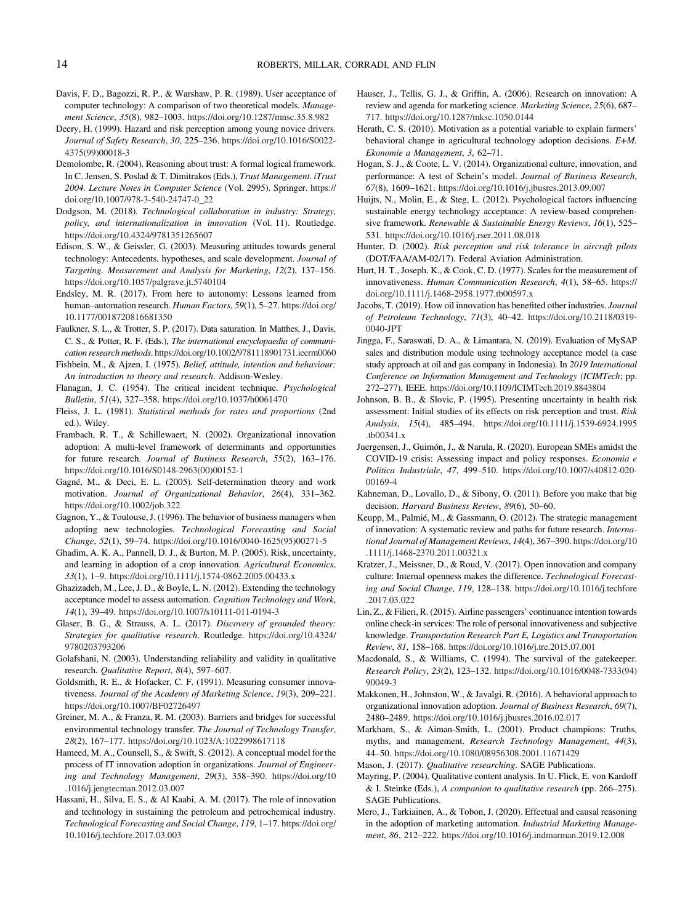- <span id="page-13-0"></span>Davis, F. D., Bagozzi, R. P., & Warshaw, P. R. (1989). User acceptance of computer technology: A comparison of two theoretical models. Management Science, 35(8), 982–1003. <https://doi.org/10.1287/mnsc.35.8.982>
- Deery, H. (1999). Hazard and risk perception among young novice drivers. Journal of Safety Research, 30, 225–236. [https://doi.org/10.1016/S0022-](https://doi.org/10.1016/S0022-4375(99)00018-3) [4375\(99\)00018-3](https://doi.org/10.1016/S0022-4375(99)00018-3)
- Demolombe, R. (2004). Reasoning about trust: A formal logical framework. In C. Jensen, S. Poslad & T. Dimitrakos (Eds.), Trust Management. iTrust 2004. Lecture Notes in Computer Science (Vol. 2995). Springer. [https://](https://doi.org/10.1007/978-3-540-24747-0_22) [doi.org/10.1007/978-3-540-24747-0\\_22](https://doi.org/10.1007/978-3-540-24747-0_22)
- Dodgson, M. (2018). Technological collaboration in industry: Strategy, policy, and internationalization in innovation (Vol. 11). Routledge. <https://doi.org/10.4324/9781351265607>
- Edison, S. W., & Geissler, G. (2003). Measuring attitudes towards general technology: Antecedents, hypotheses, and scale development. Journal of Targeting. Measurement and Analysis for Marketing, 12(2), 137–156. <https://doi.org/10.1057/palgrave.jt.5740104>
- Endsley, M. R. (2017). From here to autonomy: Lessons learned from human–automation research. Human Factors, 59(1), 5–27. [https://doi.org/](https://doi.org/10.1177/0018720816681350) [10.1177/0018720816681350](https://doi.org/10.1177/0018720816681350)
- Faulkner, S. L., & Trotter, S. P. (2017). Data saturation. In Matthes, J., Davis, C. S., & Potter, R. F. (Eds.), The international encyclopaedia of communication research methods. <https://doi.org/10.1002/9781118901731.iecrm0060>
- Fishbein, M., & Ajzen, I. (1975). Belief, attitude, intention and behaviour: An introduction to theory and research. Addison-Wesley.
- Flanagan, J. C. (1954). The critical incident technique. Psychological Bulletin, 51(4), 327–358. <https://doi.org/10.1037/h0061470>
- Fleiss, J. L. (1981). Statistical methods for rates and proportions (2nd ed.). Wiley.
- Frambach, R. T., & Schillewaert, N. (2002). Organizational innovation adoption: A multi-level framework of determinants and opportunities for future research. Journal of Business Research, 55(2), 163–176. [https://doi.org/10.1016/S0148-2963\(00\)00152-1](https://doi.org/10.1016/S0148-2963(00)00152-1)
- Gagné, M., & Deci, E. L. (2005). Self-determination theory and work motivation. Journal of Organizational Behavior, 26(4), 331–362. <https://doi.org/10.1002/job.322>
- Gagnon, Y., & Toulouse, J. (1996). The behavior of business managers when adopting new technologies. Technological Forecasting and Social Change, 52(1), 59–74. [https://doi.org/10.1016/0040-1625\(95\)00271-5](https://doi.org/10.1016/0040-1625(95)00271-5)
- Ghadim, A. K. A., Pannell, D. J., & Burton, M. P. (2005). Risk, uncertainty, and learning in adoption of a crop innovation. Agricultural Economics, 33(1), 1–9. <https://doi.org/10.1111/j.1574-0862.2005.00433.x>
- Ghazizadeh, M., Lee, J. D., & Boyle, L. N. (2012). Extending the technology acceptance model to assess automation. Cognition Technology and Work, 14(1), 39–49. <https://doi.org/10.1007/s10111-011-0194-3>
- Glaser, B. G., & Strauss, A. L. (2017). Discovery of grounded theory: Strategies for qualitative research. Routledge. [https://doi.org/10.4324/](https://doi.org/10.4324/9780203793206) [9780203793206](https://doi.org/10.4324/9780203793206)
- Golafshani, N. (2003). Understanding reliability and validity in qualitative research. Qualitative Report, 8(4), 597–607.
- Goldsmith, R. E., & Hofacker, C. F. (1991). Measuring consumer innovativeness. Journal of the Academy of Marketing Science, 19(3), 209–221. <https://doi.org/10.1007/BF02726497>
- Greiner, M. A., & Franza, R. M. (2003). Barriers and bridges for successful environmental technology transfer. The Journal of Technology Transfer, 28(2), 167–177. <https://doi.org/10.1023/A:1022998617118>
- Hameed, M. A., Counsell, S., & Swift, S. (2012). A conceptual model for the process of IT innovation adoption in organizations. Journal of Engineering and Technology Management, 29(3), 358–390. [https://doi.org/10](https://doi.org/10.1016/j.jengtecman.2012.03.007) [.1016/j.jengtecman.2012.03.007](https://doi.org/10.1016/j.jengtecman.2012.03.007)
- Hassani, H., Silva, E. S., & Al Kaabi, A. M. (2017). The role of innovation and technology in sustaining the petroleum and petrochemical industry. Technological Forecasting and Social Change, 119, 1–17. [https://doi.org/](https://doi.org/10.1016/j.techfore.2017.03.003) [10.1016/j.techfore.2017.03.003](https://doi.org/10.1016/j.techfore.2017.03.003)
- Hauser, J., Tellis, G. J., & Griffin, A. (2006). Research on innovation: A review and agenda for marketing science. Marketing Science, 25(6), 687– 717. <https://doi.org/10.1287/mksc.1050.0144>
- Herath, C. S. (2010). Motivation as a potential variable to explain farmers' behavioral change in agricultural technology adoption decisions. E+M. Ekonomie a Management, 3, 62–71.
- Hogan, S. J., & Coote, L. V. (2014). Organizational culture, innovation, and performance: A test of Schein's model. Journal of Business Research, 67(8), 1609–1621. <https://doi.org/10.1016/j.jbusres.2013.09.007>
- Huijts, N., Molin, E., & Steg, L. (2012). Psychological factors influencing sustainable energy technology acceptance: A review-based comprehensive framework. Renewable & Sustainable Energy Reviews, 16(1), 525– 531. <https://doi.org/10.1016/j.rser.2011.08.018>
- Hunter, D. (2002). Risk perception and risk tolerance in aircraft pilots (DOT/FAA/AM-02/17). Federal Aviation Administration.
- Hurt, H. T., Joseph, K., & Cook, C. D. (1977). Scales for the measurement of innovativeness. Human Communication Research, 4(1), 58–65. [https://](https://doi.org/10.1111/j.1468-2958.1977.tb00597.x) [doi.org/10.1111/j.1468-2958.1977.tb00597.x](https://doi.org/10.1111/j.1468-2958.1977.tb00597.x)
- Jacobs, T. (2019). How oil innovation has benefited other industries. Journal of Petroleum Technology, 71(3), 40–42. [https://doi.org/10.2118/0319-](https://doi.org/10.2118/0319-0040-JPT) [0040-JPT](https://doi.org/10.2118/0319-0040-JPT)
- Jingga, F., Saraswati, D. A., & Limantara, N. (2019). Evaluation of MySAP sales and distribution module using technology acceptance model (a case study approach at oil and gas company in Indonesia). In 2019 International Conference on Information Management and Technology (ICIMTech; pp. 272–277). IEEE. <https://doi.org/10.1109/ICIMTech.2019.8843804>
- Johnson, B. B., & Slovic, P. (1995). Presenting uncertainty in health risk assessment: Initial studies of its effects on risk perception and trust. Risk Analysis, 15(4), 485–494. [https://doi.org/10.1111/j.1539-6924.1995](https://doi.org/10.1111/j.1539-6924.1995.tb00341.x) [.tb00341.x](https://doi.org/10.1111/j.1539-6924.1995.tb00341.x)
- Juergensen, J., Guimón, J., & Narula, R. (2020). European SMEs amidst the COVID-19 crisis: Assessing impact and policy responses. Economia e Politica Industriale, 47, 499–510. [https://doi.org/10.1007/s40812-020-](https://doi.org/10.1007/s40812-020-00169-4) [00169-4](https://doi.org/10.1007/s40812-020-00169-4)
- Kahneman, D., Lovallo, D., & Sibony, O. (2011). Before you make that big decision. Harvard Business Review, 89(6), 50–60.
- Keupp, M., Palmié, M., & Gassmann, O. (2012). The strategic management of innovation: A systematic review and paths for future research. International Journal of Management Reviews, 14(4), 367–390. [https://doi.org/10](https://doi.org/10.1111/j.1468-2370.2011.00321.x) [.1111/j.1468-2370.2011.00321.x](https://doi.org/10.1111/j.1468-2370.2011.00321.x)
- Kratzer, J., Meissner, D., & Roud, V. (2017). Open innovation and company culture: Internal openness makes the difference. Technological Forecasting and Social Change, 119, 128–138. [https://doi.org/10.1016/j.techfore](https://doi.org/10.1016/j.techfore.2017.03.022) [.2017.03.022](https://doi.org/10.1016/j.techfore.2017.03.022)
- Lin, Z., & Filieri, R. (2015). Airline passengers' continuance intention towards online check-in services: The role of personal innovativeness and subjective knowledge. Transportation Research Part E, Logistics and Transportation Review, 81, 158–168. <https://doi.org/10.1016/j.tre.2015.07.001>
- Macdonald, S., & Williams, C. (1994). The survival of the gatekeeper. Research Policy, 23(2), 123–132. [https://doi.org/10.1016/0048-7333\(94\)](https://doi.org/10.1016/0048-7333(94)90049-3) [90049-3](https://doi.org/10.1016/0048-7333(94)90049-3)
- Makkonen, H., Johnston, W., & Javalgi, R. (2016). A behavioral approach to organizational innovation adoption. Journal of Business Research, 69(7), 2480–2489. <https://doi.org/10.1016/j.jbusres.2016.02.017>
- Markham, S., & Aiman-Smith, L. (2001). Product champions: Truths, myths, and management. Research Technology Management, 44(3), 44–50. <https://doi.org/10.1080/08956308.2001.11671429>
- Mason, J. (2017). Qualitative researching. SAGE Publications.
- Mayring, P. (2004). Qualitative content analysis. In U. Flick, E. von Kardoff & I. Steinke (Eds.), A companion to qualitative research (pp. 266–275). SAGE Publications.
- Mero, J., Tarkiainen, A., & Tobon, J. (2020). Effectual and causal reasoning in the adoption of marketing automation. Industrial Marketing Management, 86, 212–222. <https://doi.org/10.1016/j.indmarman.2019.12.008>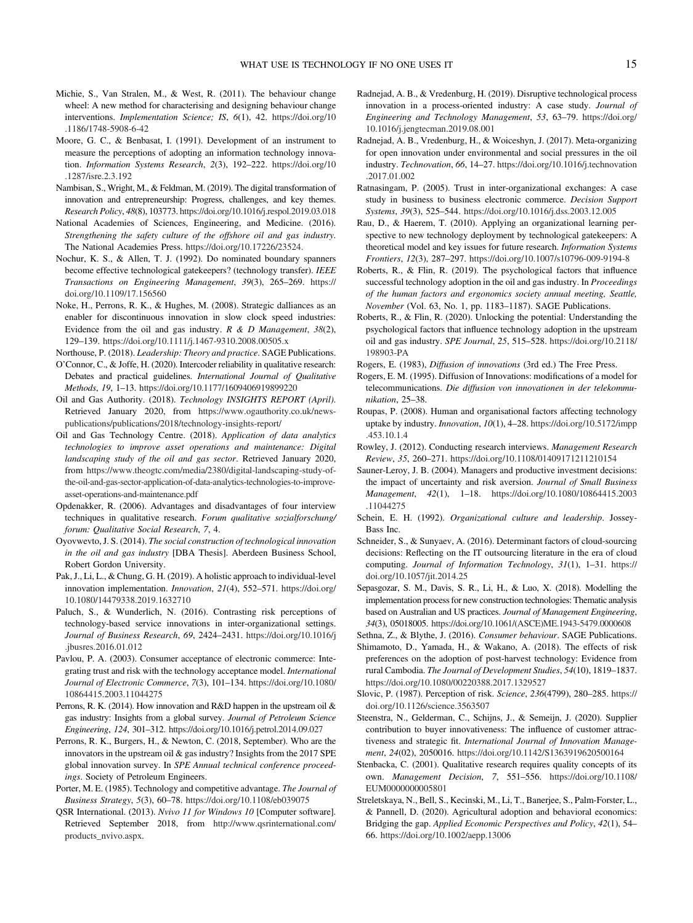- <span id="page-14-0"></span>Michie, S., Van Stralen, M., & West, R. (2011). The behaviour change wheel: A new method for characterising and designing behaviour change interventions. Implementation Science; IS, 6(1), 42. [https://doi.org/10](https://doi.org/10.1186/1748-5908-6-42) [.1186/1748-5908-6-42](https://doi.org/10.1186/1748-5908-6-42)
- Moore, G. C., & Benbasat, I. (1991). Development of an instrument to measure the perceptions of adopting an information technology innovation. Information Systems Research, 2(3), 192–222. [https://doi.org/10](https://doi.org/10.1287/isre.2.3.192) [.1287/isre.2.3.192](https://doi.org/10.1287/isre.2.3.192)
- Nambisan, S., Wright, M., & Feldman, M. (2019). The digital transformation of innovation and entrepreneurship: Progress, challenges, and key themes. Research Policy, 48(8), 103773. <https://doi.org/10.1016/j.respol.2019.03.018>
- National Academies of Sciences, Engineering, and Medicine. (2016). Strengthening the safety culture of the offshore oil and gas industry. The National Academies Press. [https://doi.org/10.17226/23524.](https://doi.org/10.17226/23524)
- Nochur, K. S., & Allen, T. J. (1992). Do nominated boundary spanners become effective technological gatekeepers? (technology transfer). IEEE Transactions on Engineering Management, 39(3), 265–269. [https://](https://doi.org/10.1109/17.156560) [doi.org/10.1109/17.156560](https://doi.org/10.1109/17.156560)
- Noke, H., Perrons, R. K., & Hughes, M. (2008). Strategic dalliances as an enabler for discontinuous innovation in slow clock speed industries: Evidence from the oil and gas industry.  $R \& D$  Management, 38(2), 129–139. <https://doi.org/10.1111/j.1467-9310.2008.00505.x>
- Northouse, P. (2018). Leadership: Theory and practice. SAGE Publications.
- O'Connor, C., & Joffe, H. (2020). Intercoder reliability in qualitative research: Debates and practical guidelines. International Journal of Qualitative Methods, 19, 1–13. <https://doi.org/10.1177/1609406919899220>
- Oil and Gas Authority. (2018). Technology INSIGHTS REPORT (April). Retrieved January 2020, from [https://www.ogauthority.co.uk/news](https://www.ogauthority.co.uk/news-publications/publications/2018/technology-insights-report/)[publications/publications/2018/technology-insights-report/](https://www.ogauthority.co.uk/news-publications/publications/2018/technology-insights-report/)
- Oil and Gas Technology Centre. (2018). Application of data analytics technologies to improve asset operations and maintenance: Digital landscaping study of the oil and gas sector. Retrieved January 2020, from [https://www.theogtc.com/media/2380/digital-landscaping-study-of](https://www.theogtc.com/media/2380/digital-landscaping-study-of-the-oil-and-gas-sector-application-of-data-analytics-technologies-to-improve-asset-operations-and-maintenance.pdf)[the-oil-and-gas-sector-application-of-data-analytics-technologies-to-improve](https://www.theogtc.com/media/2380/digital-landscaping-study-of-the-oil-and-gas-sector-application-of-data-analytics-technologies-to-improve-asset-operations-and-maintenance.pdf)[asset-operations-and-maintenance.pdf](https://www.theogtc.com/media/2380/digital-landscaping-study-of-the-oil-and-gas-sector-application-of-data-analytics-technologies-to-improve-asset-operations-and-maintenance.pdf)
- Opdenakker, R. (2006). Advantages and disadvantages of four interview techniques in qualitative research. Forum qualitative sozialforschung/ forum: Qualitative Social Research, 7, 4.
- Oyovwevto, J. S. (2014). The social construction of technological innovation in the oil and gas industry [DBA Thesis]. Aberdeen Business School, Robert Gordon University.
- Pak, J., Li, L., & Chung, G. H. (2019). A holistic approach to individual-level innovation implementation. Innovation, 21(4), 552–571. [https://doi.org/](https://doi.org/10.1080/14479338.2019.1632710) [10.1080/14479338.2019.1632710](https://doi.org/10.1080/14479338.2019.1632710)
- Paluch, S., & Wunderlich, N. (2016). Contrasting risk perceptions of technology-based service innovations in inter-organizational settings. Journal of Business Research, 69, 2424–2431. [https://doi.org/10.1016/j](https://doi.org/10.1016/j.jbusres.2016.01.012) [.jbusres.2016.01.012](https://doi.org/10.1016/j.jbusres.2016.01.012)
- Pavlou, P. A. (2003). Consumer acceptance of electronic commerce: Integrating trust and risk with the technology acceptance model. International Journal of Electronic Commerce, 7(3), 101–134. [https://doi.org/10.1080/](https://doi.org/10.1080/10864415.2003.11044275) [10864415.2003.11044275](https://doi.org/10.1080/10864415.2003.11044275)
- Perrons, R. K. (2014). How innovation and R&D happen in the upstream oil & gas industry: Insights from a global survey. Journal of Petroleum Science Engineering, 124, 301–312. <https://doi.org/10.1016/j.petrol.2014.09.027>
- Perrons, R. K., Burgers, H., & Newton, C. (2018, September). Who are the innovators in the upstream oil  $\&$  gas industry? Insights from the 2017 SPE global innovation survey. In SPE Annual technical conference proceedings. Society of Petroleum Engineers.
- Porter, M. E. (1985). Technology and competitive advantage. The Journal of Business Strategy, 5(3), 60–78. <https://doi.org/10.1108/eb039075>
- QSR International. (2013). Nvivo 11 for Windows 10 [Computer software]. Retrieved September 2018, from [http://www.qsrinternational.com/](http://www.qsrinternational.com/products_nvivo.aspx) [products\\_nvivo.aspx.](http://www.qsrinternational.com/products_nvivo.aspx)
- Radnejad, A. B., & Vredenburg, H. (2019). Disruptive technological process innovation in a process-oriented industry: A case study. Journal of Engineering and Technology Management, 53, 63–79. [https://doi.org/](https://doi.org/10.1016/j.jengtecman.2019.08.001) [10.1016/j.jengtecman.2019.08.001](https://doi.org/10.1016/j.jengtecman.2019.08.001)
- Radnejad, A. B., Vredenburg, H., & Woiceshyn, J. (2017). Meta-organizing for open innovation under environmental and social pressures in the oil industry. Technovation, 66, 14–27. [https://doi.org/10.1016/j.technovation](https://doi.org/10.1016/j.technovation.2017.01.002) [.2017.01.002](https://doi.org/10.1016/j.technovation.2017.01.002)
- Ratnasingam, P. (2005). Trust in inter-organizational exchanges: A case study in business to business electronic commerce. Decision Support Systems, 39(3), 525–544. <https://doi.org/10.1016/j.dss.2003.12.005>
- Rau, D., & Haerem, T. (2010). Applying an organizational learning perspective to new technology deployment by technological gatekeepers: A theoretical model and key issues for future research. Information Systems Frontiers, 12(3), 287–297. <https://doi.org/10.1007/s10796-009-9194-8>
- Roberts, R., & Flin, R. (2019). The psychological factors that influence successful technology adoption in the oil and gas industry. In Proceedings of the human factors and ergonomics society annual meeting, Seattle, November (Vol. 63, No. 1, pp. 1183–1187). SAGE Publications.
- Roberts, R., & Flin, R. (2020). Unlocking the potential: Understanding the psychological factors that influence technology adoption in the upstream oil and gas industry. SPE Journal, 25, 515–528. [https://doi.org/10.2118/](https://doi.org/10.2118/198903-PA) [198903-PA](https://doi.org/10.2118/198903-PA)
- Rogers, E. (1983), Diffusion of innovations (3rd ed.) The Free Press.
- Rogers, E. M. (1995). Diffusion of Innovations: modifications of a model for telecommunications. Die diffusion von innovationen in der telekommunikation, 25–38.
- Roupas, P. (2008). Human and organisational factors affecting technology uptake by industry. Innovation, 10(1), 4–28. [https://doi.org/10.5172/impp](https://doi.org/10.5172/impp.453.10.1.4) [.453.10.1.4](https://doi.org/10.5172/impp.453.10.1.4)
- Rowley, J. (2012). Conducting research interviews. Management Research Review, 35, 260–271. <https://doi.org/10.1108/01409171211210154>
- Sauner-Leroy, J. B. (2004). Managers and productive investment decisions: the impact of uncertainty and risk aversion. Journal of Small Business Management, 42(1), 1–18. [https://doi.org/10.1080/10864415.2003](https://doi.org/10.1080/10864415.2003.11044275) [.11044275](https://doi.org/10.1080/10864415.2003.11044275)
- Schein, E. H. (1992). Organizational culture and leadership. Jossey-Bass Inc.
- Schneider, S., & Sunyaev, A. (2016). Determinant factors of cloud-sourcing decisions: Reflecting on the IT outsourcing literature in the era of cloud computing. Journal of Information Technology, 31(1), 1–31. [https://](https://doi.org/10.1057/jit.2014.25) [doi.org/10.1057/jit.2014.25](https://doi.org/10.1057/jit.2014.25)
- Sepasgozar, S. M., Davis, S. R., Li, H., & Luo, X. (2018). Modelling the implementation process for new construction technologies: Thematic analysis based on Australian and US practices. Journal of Management Engineering, 34(3), 05018005. [https://doi.org/10.1061/\(ASCE\)ME.1943-5479.0000608](https://doi.org/10.1061/(ASCE)ME.1943-5479.0000608)
- Sethna, Z., & Blythe, J. (2016). Consumer behaviour. SAGE Publications. Shimamoto, D., Yamada, H., & Wakano, A. (2018). The effects of risk preferences on the adoption of post-harvest technology: Evidence from rural Cambodia. The Journal of Development Studies, 54(10), 1819–1837. <https://doi.org/10.1080/00220388.2017.1329527>
- Slovic, P. (1987). Perception of risk. Science, 236(4799), 280–285. [https://](https://doi.org/10.1126/science.3563507) [doi.org/10.1126/science.3563507](https://doi.org/10.1126/science.3563507)
- Steenstra, N., Gelderman, C., Schijns, J., & Semeijn, J. (2020). Supplier contribution to buyer innovativeness: The influence of customer attractiveness and strategic fit. International Journal of Innovation Management, 24(02), 2050016. <https://doi.org/10.1142/S1363919620500164>
- Stenbacka, C. (2001). Qualitative research requires quality concepts of its own. Management Decision, 7, 551–556. [https://doi.org/10.1108/](https://doi.org/10.1108/EUM0000000005801) [EUM0000000005801](https://doi.org/10.1108/EUM0000000005801)
- Streletskaya, N., Bell, S., Kecinski, M., Li, T., Banerjee, S., Palm-Forster, L., & Pannell, D. (2020). Agricultural adoption and behavioral economics: Bridging the gap. Applied Economic Perspectives and Policy, 42(1), 54– 66. <https://doi.org/10.1002/aepp.13006>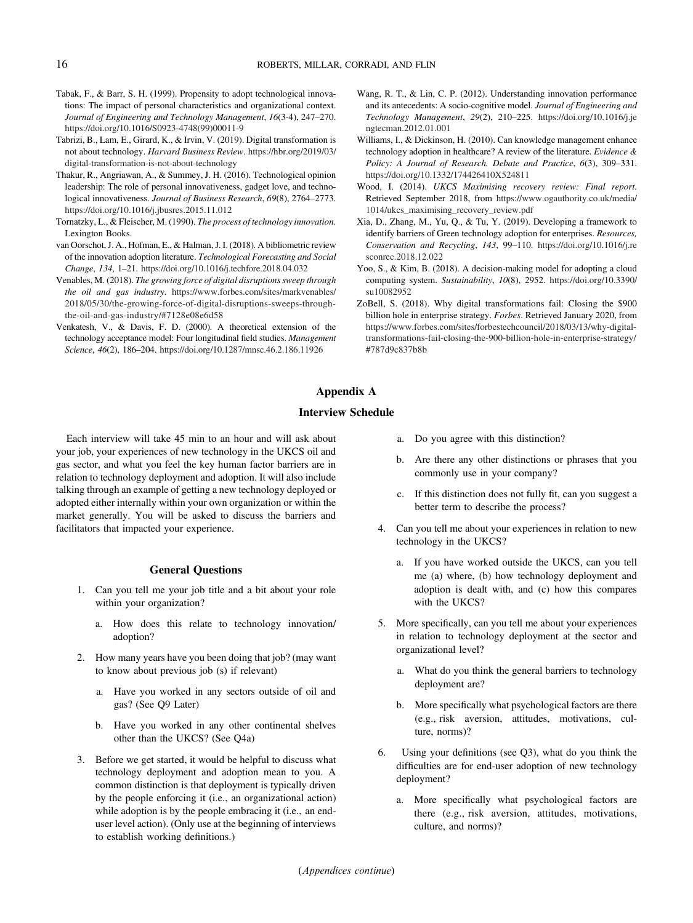- <span id="page-15-0"></span>Tabak, F., & Barr, S. H. (1999). Propensity to adopt technological innovations: The impact of personal characteristics and organizational context. Journal of Engineering and Technology Management, 16(3-4), 247–270. [https://doi.org/10.1016/S0923-4748\(99\)00011-9](https://doi.org/10.1016/S0923-4748(99)00011-9)
- Tabrizi, B., Lam, E., Girard, K., & Irvin, V. (2019). Digital transformation is not about technology. Harvard Business Review. [https://hbr.org/2019/03/](https://hbr.org/2019/03/digital-transformation-is-not-about-technology) [digital-transformation-is-not-about-technology](https://hbr.org/2019/03/digital-transformation-is-not-about-technology)
- Thakur, R., Angriawan, A., & Summey, J. H. (2016). Technological opinion leadership: The role of personal innovativeness, gadget love, and technological innovativeness. Journal of Business Research, 69(8), 2764–2773. <https://doi.org/10.1016/j.jbusres.2015.11.012>
- Tornatzky, L., & Fleischer, M. (1990). The process of technology innovation. Lexington Books.
- van Oorschot, J. A., Hofman, E., & Halman, J. I. (2018). A bibliometric review of the innovation adoption literature. Technological Forecasting and Social Change, 134, 1–21. <https://doi.org/10.1016/j.techfore.2018.04.032>
- Venables, M. (2018). The growing force of digital disruptions sweep through the oil and gas industry. [https://www.forbes.com/sites/markvenables/](https://www.forbes.com/sites/markvenables/2018/05/30/the-growing-force-of-digital-disruptions-sweeps-through-the-oil-and-gas-industry/#7128e08e6d58) [2018/05/30/the-growing-force-of-digital-disruptions-sweeps-through](https://www.forbes.com/sites/markvenables/2018/05/30/the-growing-force-of-digital-disruptions-sweeps-through-the-oil-and-gas-industry/#7128e08e6d58)[the-oil-and-gas-industry/#7128e08e6d58](https://www.forbes.com/sites/markvenables/2018/05/30/the-growing-force-of-digital-disruptions-sweeps-through-the-oil-and-gas-industry/#7128e08e6d58)
- Venkatesh, V., & Davis, F. D. (2000). A theoretical extension of the technology acceptance model: Four longitudinal field studies. Management Science, 46(2), 186–204. <https://doi.org/10.1287/mnsc.46.2.186.11926>
- Wang, R. T., & Lin, C. P. (2012). Understanding innovation performance and its antecedents: A socio-cognitive model. Journal of Engineering and Technology Management, 29(2), 210–225. [https://doi.org/10.1016/j.je](https://doi.org/10.1016/j.jengtecman.2012.01.001) [ngtecman.2012.01.001](https://doi.org/10.1016/j.jengtecman.2012.01.001)
- Williams, I., & Dickinson, H. (2010). Can knowledge management enhance technology adoption in healthcare? A review of the literature. Evidence & Policy: A Journal of Research. Debate and Practice, 6(3), 309–331. <https://doi.org/10.1332/174426410X524811>
- Wood, I. (2014). UKCS Maximising recovery review: Final report. Retrieved September 2018, from [https://www.ogauthority.co.uk/media/](https://www.ogauthority.co.uk/media/1014/ukcs_maximising_recovery_review.pdf) [1014/ukcs\\_maximising\\_recovery\\_review.pdf](https://www.ogauthority.co.uk/media/1014/ukcs_maximising_recovery_review.pdf)
- Xia, D., Zhang, M., Yu, Q., & Tu, Y. (2019). Developing a framework to identify barriers of Green technology adoption for enterprises. Resources, Conservation and Recycling, 143, 99–110. [https://doi.org/10.1016/j.re](https://doi.org/10.1016/j.resconrec.2018.12.022) [sconrec.2018.12.022](https://doi.org/10.1016/j.resconrec.2018.12.022)
- Yoo, S., & Kim, B. (2018). A decision-making model for adopting a cloud computing system. Sustainability, 10(8), 2952. [https://doi.org/10.3390/](https://doi.org/10.3390/su10082952) [su10082952](https://doi.org/10.3390/su10082952)
- ZoBell, S. (2018). Why digital transformations fail: Closing the \$900 billion hole in enterprise strategy. Forbes. Retrieved January 2020, from [https://www.forbes.com/sites/forbestechcouncil/2018/03/13/why-digital](https://www.forbes.com/sites/forbestechcouncil/2018/03/13/why-digital-transformations-fail-closing-the-900-billion-hole-in-enterprise-strategy/#787d9c837b8b)[transformations-fail-closing-the-900-billion-hole-in-enterprise-strategy/](https://www.forbes.com/sites/forbestechcouncil/2018/03/13/why-digital-transformations-fail-closing-the-900-billion-hole-in-enterprise-strategy/#787d9c837b8b) [#787d9c837b8b](https://www.forbes.com/sites/forbestechcouncil/2018/03/13/why-digital-transformations-fail-closing-the-900-billion-hole-in-enterprise-strategy/#787d9c837b8b)

# Appendix A

## Interview Schedule

Each interview will take 45 min to an hour and will ask about your job, your experiences of new technology in the UKCS oil and gas sector, and what you feel the key human factor barriers are in relation to technology deployment and adoption. It will also include talking through an example of getting a new technology deployed or adopted either internally within your own organization or within the market generally. You will be asked to discuss the barriers and facilitators that impacted your experience.

## General Questions

- 1. Can you tell me your job title and a bit about your role within your organization?
	- a. How does this relate to technology innovation/ adoption?
- 2. How many years have you been doing that job? (may want to know about previous job (s) if relevant)
	- a. Have you worked in any sectors outside of oil and gas? (See Q9 Later)
	- b. Have you worked in any other continental shelves other than the UKCS? (See Q4a)
- 3. Before we get started, it would be helpful to discuss what technology deployment and adoption mean to you. A common distinction is that deployment is typically driven by the people enforcing it (i.e., an organizational action) while adoption is by the people embracing it (i.e., an enduser level action). (Only use at the beginning of interviews to establish working definitions.)
- a. Do you agree with this distinction?
- b. Are there any other distinctions or phrases that you commonly use in your company?
- c. If this distinction does not fully fit, can you suggest a better term to describe the process?
- 4. Can you tell me about your experiences in relation to new technology in the UKCS?
	- a. If you have worked outside the UKCS, can you tell me (a) where, (b) how technology deployment and adoption is dealt with, and (c) how this compares with the UKCS?
- 5. More specifically, can you tell me about your experiences in relation to technology deployment at the sector and organizational level?
	- a. What do you think the general barriers to technology deployment are?
	- b. More specifically what psychological factors are there (e.g., risk aversion, attitudes, motivations, culture, norms)?
- 6. Using your definitions (see Q3), what do you think the difficulties are for end-user adoption of new technology deployment?
	- a. More specifically what psychological factors are there (e.g., risk aversion, attitudes, motivations, culture, and norms)?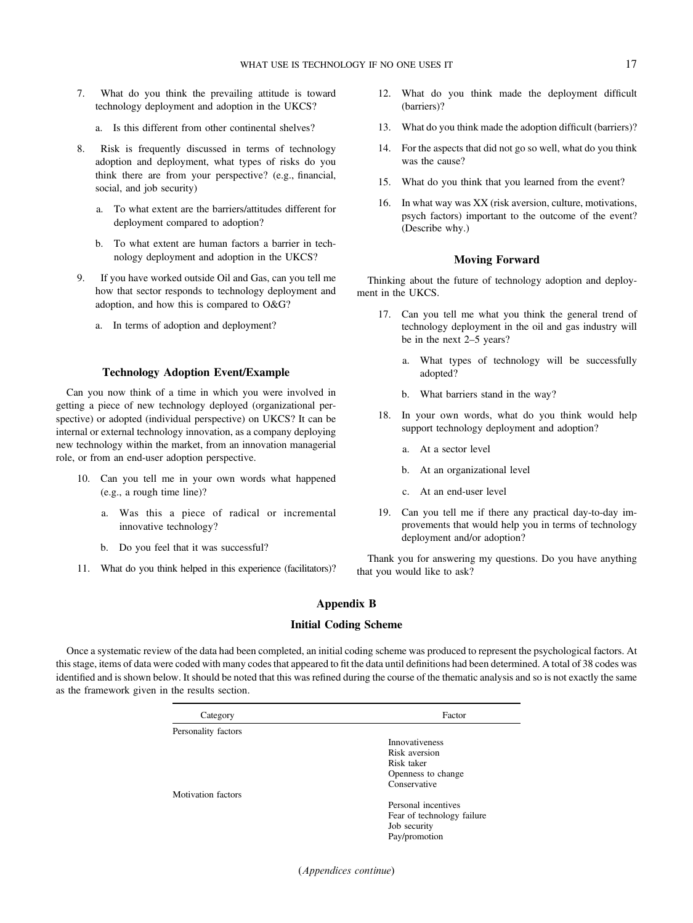- <span id="page-16-0"></span>7. What do you think the prevailing attitude is toward technology deployment and adoption in the UKCS?
	- a. Is this different from other continental shelves?
- 8. Risk is frequently discussed in terms of technology adoption and deployment, what types of risks do you think there are from your perspective? (e.g., financial, social, and job security)
	- a. To what extent are the barriers/attitudes different for deployment compared to adoption?
	- b. To what extent are human factors a barrier in technology deployment and adoption in the UKCS?
- 9. If you have worked outside Oil and Gas, can you tell me how that sector responds to technology deployment and adoption, and how this is compared to O&G?
	- a. In terms of adoption and deployment?

## Technology Adoption Event/Example

Can you now think of a time in which you were involved in getting a piece of new technology deployed (organizational perspective) or adopted (individual perspective) on UKCS? It can be internal or external technology innovation, as a company deploying new technology within the market, from an innovation managerial role, or from an end-user adoption perspective.

- 10. Can you tell me in your own words what happened (e.g., a rough time line)?
	- a. Was this a piece of radical or incremental innovative technology?
	- b. Do you feel that it was successful?
- 11. What do you think helped in this experience (facilitators)?
- 12. What do you think made the deployment difficult (barriers)?
- 13. What do you think made the adoption difficult (barriers)?
- 14. For the aspects that did not go so well, what do you think was the cause?
- 15. What do you think that you learned from the event?
- 16. In what way was XX (risk aversion, culture, motivations, psych factors) important to the outcome of the event? (Describe why.)

#### Moving Forward

Thinking about the future of technology adoption and deployment in the UKCS.

- 17. Can you tell me what you think the general trend of technology deployment in the oil and gas industry will be in the next 2–5 years?
	- a. What types of technology will be successfully adopted?
	- b. What barriers stand in the way?
- 18. In your own words, what do you think would help support technology deployment and adoption?
	- a. At a sector level
	- b. At an organizational level
	- c. At an end-user level
- 19. Can you tell me if there any practical day-to-day improvements that would help you in terms of technology deployment and/or adoption?

Thank you for answering my questions. Do you have anything that you would like to ask?

# Appendix B

## Initial Coding Scheme

Once a systematic review of the data had been completed, an initial coding scheme was produced to represent the psychological factors. At this stage, items of data were coded with many codes that appeared to fit the data until definitions had been determined. A total of 38 codes was identified and is shown below. It should be noted that this was refined during the course of the thematic analysis and so is not exactly the same as the framework given in the results section.

| Category                  | Factor                     |  |
|---------------------------|----------------------------|--|
| Personality factors       |                            |  |
|                           | <b>Innovativeness</b>      |  |
|                           | Risk aversion              |  |
|                           | Risk taker                 |  |
|                           | Openness to change         |  |
|                           | Conservative               |  |
| <b>Motivation</b> factors |                            |  |
|                           | Personal incentives        |  |
|                           | Fear of technology failure |  |
|                           | Job security               |  |
|                           | Pay/promotion              |  |